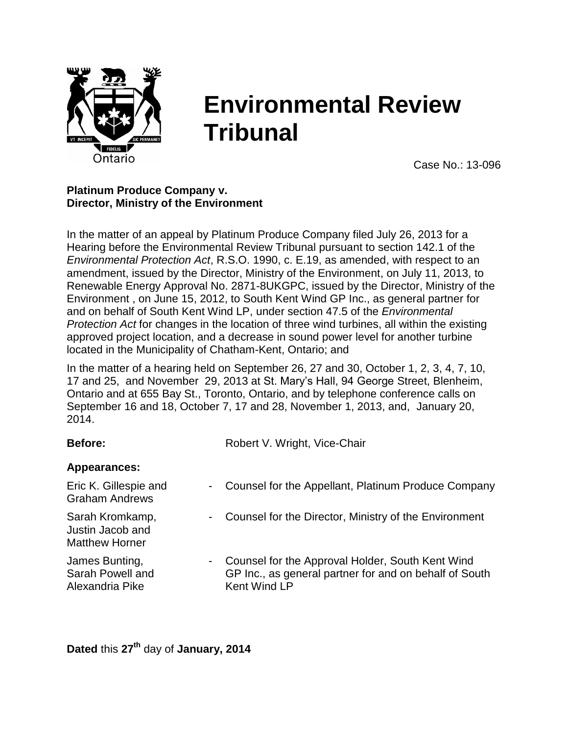

# **Environmental Review Tribunal**

Case No.: 13-096

### **Platinum Produce Company v. Director, Ministry of the Environment**

In the matter of an appeal by Platinum Produce Company filed July 26, 2013 for a Hearing before the Environmental Review Tribunal pursuant to section 142.1 of the *Environmental Protection Act*, R.S.O. 1990, c. E.19, as amended, with respect to an amendment, issued by the Director, Ministry of the Environment, on July 11, 2013, to Renewable Energy Approval No. 2871-8UKGPC, issued by the Director, Ministry of the Environment , on June 15, 2012, to South Kent Wind GP Inc., as general partner for and on behalf of South Kent Wind LP, under section 47.5 of the *Environmental Protection Act* for changes in the location of three wind turbines, all within the existing approved project location, and a decrease in sound power level for another turbine located in the Municipality of Chatham-Kent, Ontario; and

In the matter of a hearing held on September 26, 27 and 30, October 1, 2, 3, 4, 7, 10, 17 and 25, and November 29, 2013 at St. Mary's Hall, 94 George Street, Blenheim, Ontario and at 655 Bay St., Toronto, Ontario, and by telephone conference calls on September 16 and 18, October 7, 17 and 28, November 1, 2013, and, January 20, 2014.

| Before:                                                                | Robert V. Wright, Vice-Chair                                                                                               |
|------------------------------------------------------------------------|----------------------------------------------------------------------------------------------------------------------------|
| Appearances:                                                           |                                                                                                                            |
| Eric K. Gillespie and<br>$\sim$<br><b>Graham Andrews</b>               | Counsel for the Appellant, Platinum Produce Company                                                                        |
| Sarah Kromkamp,<br>$\sim$<br>Justin Jacob and<br><b>Matthew Horner</b> | Counsel for the Director, Ministry of the Environment                                                                      |
| James Bunting,<br>$\sim$<br>Sarah Powell and<br>Alexandria Pike        | Counsel for the Approval Holder, South Kent Wind<br>GP Inc., as general partner for and on behalf of South<br>Kent Wind LP |

**Dated** this **27 th** day of **January, 2014**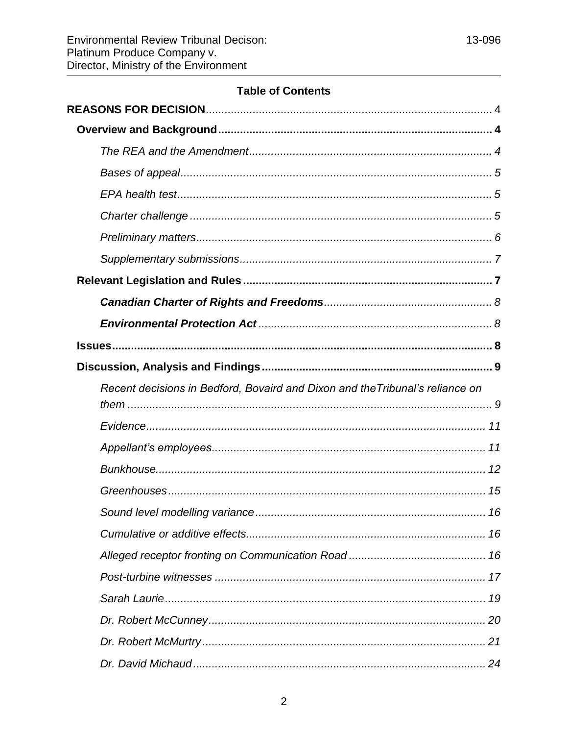# **Table of Contents**

| Recent decisions in Bedford, Bovaird and Dixon and the Tribunal's reliance on |  |
|-------------------------------------------------------------------------------|--|
|                                                                               |  |
|                                                                               |  |
|                                                                               |  |
|                                                                               |  |
|                                                                               |  |
|                                                                               |  |
|                                                                               |  |
|                                                                               |  |
|                                                                               |  |
|                                                                               |  |
|                                                                               |  |
|                                                                               |  |
|                                                                               |  |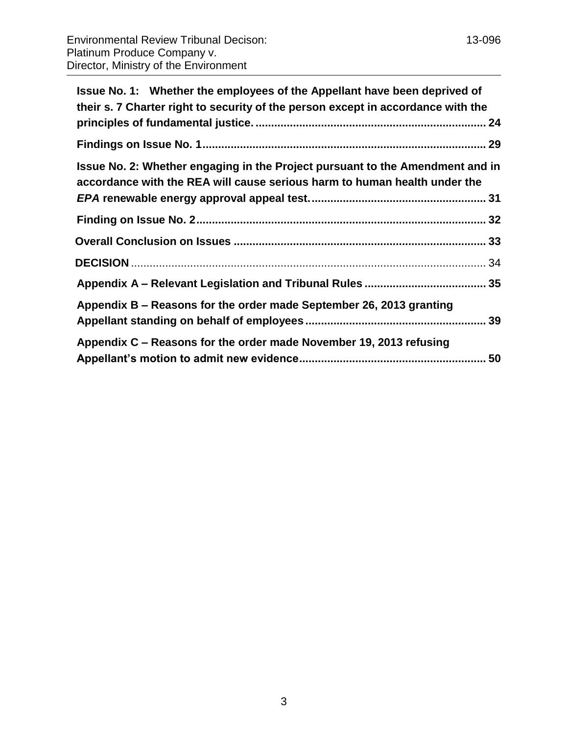| Issue No. 1: Whether the employees of the Appellant have been deprived of<br>their s. 7 Charter right to security of the person except in accordance with the |  |
|---------------------------------------------------------------------------------------------------------------------------------------------------------------|--|
|                                                                                                                                                               |  |
| Issue No. 2: Whether engaging in the Project pursuant to the Amendment and in<br>accordance with the REA will cause serious harm to human health under the    |  |
|                                                                                                                                                               |  |
|                                                                                                                                                               |  |
|                                                                                                                                                               |  |
|                                                                                                                                                               |  |
| Appendix B – Reasons for the order made September 26, 2013 granting                                                                                           |  |

| Appendix C – Reasons for the order made November 19, 2013 refusing |  |
|--------------------------------------------------------------------|--|
|                                                                    |  |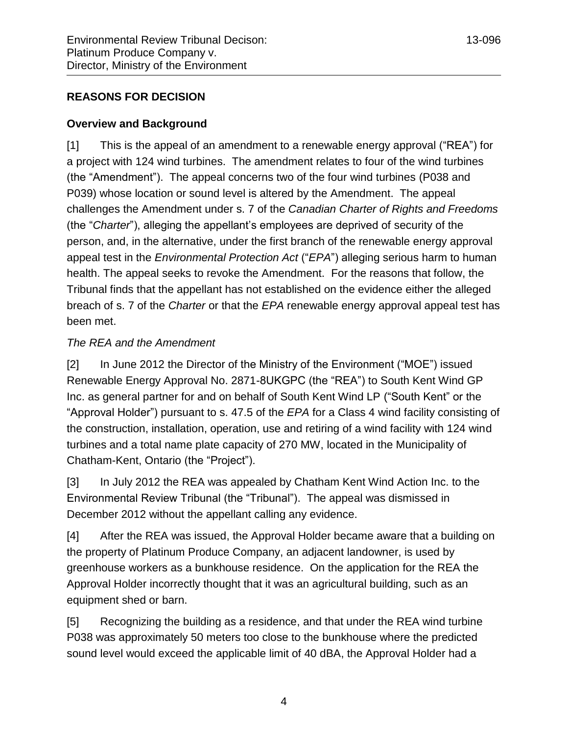# <span id="page-3-0"></span>**REASONS FOR DECISION**

### <span id="page-3-1"></span>**Overview and Background**

[1] This is the appeal of an amendment to a renewable energy approval ("REA") for a project with 124 wind turbines. The amendment relates to four of the wind turbines (the "Amendment"). The appeal concerns two of the four wind turbines (P038 and P039) whose location or sound level is altered by the Amendment. The appeal challenges the Amendment under s. 7 of the *Canadian Charter of Rights and Freedoms* (the "*Charter*"), alleging the appellant's employees are deprived of security of the person, and, in the alternative, under the first branch of the renewable energy approval appeal test in the *Environmental Protection Act* ("*EPA*") alleging serious harm to human health. The appeal seeks to revoke the Amendment. For the reasons that follow, the Tribunal finds that the appellant has not established on the evidence either the alleged breach of s. 7 of the *Charter* or that the *EPA* renewable energy approval appeal test has been met.

### <span id="page-3-2"></span>*The REA and the Amendment*

[2] In June 2012 the Director of the Ministry of the Environment ("MOE") issued Renewable Energy Approval No. 2871-8UKGPC (the "REA") to South Kent Wind GP Inc. as general partner for and on behalf of South Kent Wind LP ("South Kent" or the "Approval Holder") pursuant to s. 47.5 of the *EPA* for a Class 4 wind facility consisting of the construction, installation, operation, use and retiring of a wind facility with 124 wind turbines and a total name plate capacity of 270 MW, located in the Municipality of Chatham-Kent, Ontario (the "Project").

[3] In July 2012 the REA was appealed by Chatham Kent Wind Action Inc. to the Environmental Review Tribunal (the "Tribunal"). The appeal was dismissed in December 2012 without the appellant calling any evidence.

[4] After the REA was issued, the Approval Holder became aware that a building on the property of Platinum Produce Company, an adjacent landowner, is used by greenhouse workers as a bunkhouse residence. On the application for the REA the Approval Holder incorrectly thought that it was an agricultural building, such as an equipment shed or barn.

[5] Recognizing the building as a residence, and that under the REA wind turbine P038 was approximately 50 meters too close to the bunkhouse where the predicted sound level would exceed the applicable limit of 40 dBA, the Approval Holder had a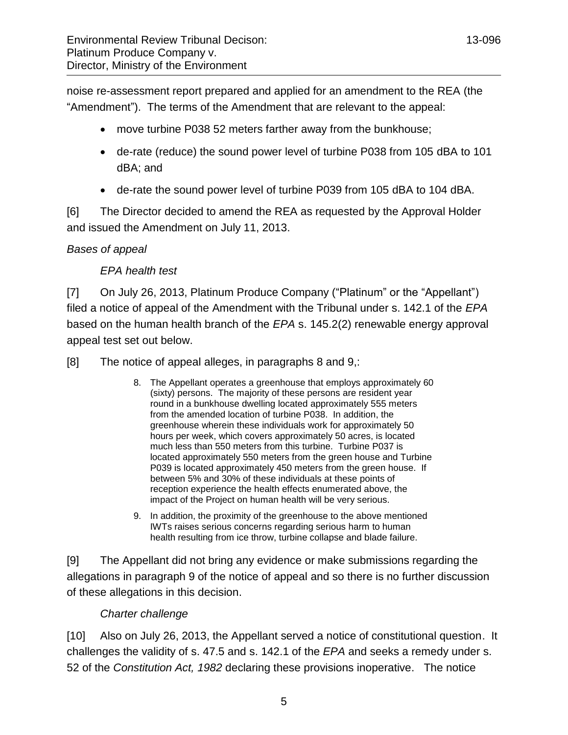noise re-assessment report prepared and applied for an amendment to the REA (the "Amendment"). The terms of the Amendment that are relevant to the appeal:

- move turbine P038 52 meters farther away from the bunkhouse;
- de-rate (reduce) the sound power level of turbine P038 from 105 dBA to 101 dBA; and
- de-rate the sound power level of turbine P039 from 105 dBA to 104 dBA.

[6] The Director decided to amend the REA as requested by the Approval Holder and issued the Amendment on July 11, 2013.

### <span id="page-4-1"></span><span id="page-4-0"></span>*Bases of appeal*

### *EPA health test*

[7] On July 26, 2013, Platinum Produce Company ("Platinum" or the "Appellant") filed a notice of appeal of the Amendment with the Tribunal under s. 142.1 of the *EPA* based on the human health branch of the *EPA* s. 145.2(2) renewable energy approval appeal test set out below.

[8] The notice of appeal alleges, in paragraphs 8 and 9,:

- 8. The Appellant operates a greenhouse that employs approximately 60 (sixty) persons. The majority of these persons are resident year round in a bunkhouse dwelling located approximately 555 meters from the amended location of turbine P038. In addition, the greenhouse wherein these individuals work for approximately 50 hours per week, which covers approximately 50 acres, is located much less than 550 meters from this turbine. Turbine P037 is located approximately 550 meters from the green house and Turbine P039 is located approximately 450 meters from the green house. If between 5% and 30% of these individuals at these points of reception experience the health effects enumerated above, the impact of the Project on human health will be very serious.
- 9. In addition, the proximity of the greenhouse to the above mentioned IWTs raises serious concerns regarding serious harm to human health resulting from ice throw, turbine collapse and blade failure.

[9] The Appellant did not bring any evidence or make submissions regarding the allegations in paragraph 9 of the notice of appeal and so there is no further discussion of these allegations in this decision.

### *Charter challenge*

<span id="page-4-2"></span>[10] Also on July 26, 2013, the Appellant served a notice of constitutional question. It challenges the validity of s. 47.5 and s. 142.1 of the *EPA* and seeks a remedy under s. 52 of the *Constitution Act, 1982* declaring these provisions inoperative. The notice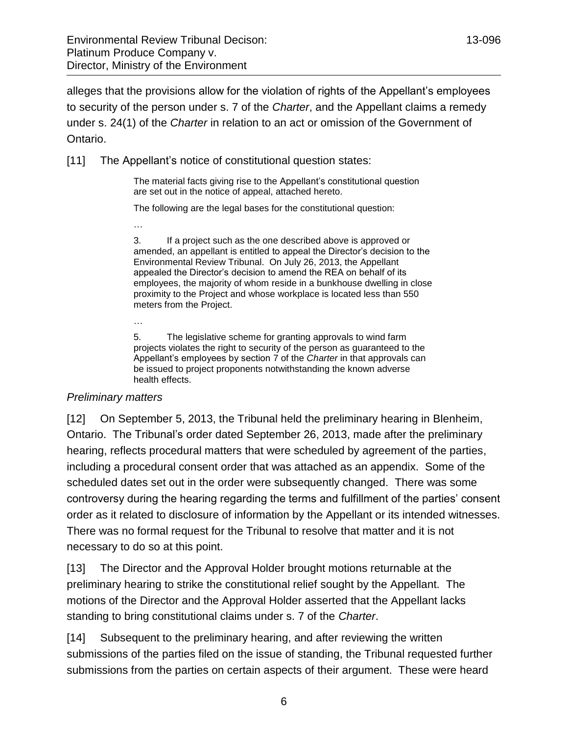alleges that the provisions allow for the violation of rights of the Appellant's employees to security of the person under s. 7 of the *Charter*, and the Appellant claims a remedy under s. 24(1) of the *Charter* in relation to an act or omission of the Government of Ontario.

[11] The Appellant's notice of constitutional question states:

The material facts giving rise to the Appellant's constitutional question are set out in the notice of appeal, attached hereto.

The following are the legal bases for the constitutional question:

3. If a project such as the one described above is approved or amended, an appellant is entitled to appeal the Director's decision to the Environmental Review Tribunal. On July 26, 2013, the Appellant appealed the Director's decision to amend the REA on behalf of its employees, the majority of whom reside in a bunkhouse dwelling in close proximity to the Project and whose workplace is located less than 550 meters from the Project.

5. The legislative scheme for granting approvals to wind farm projects violates the right to security of the person as guaranteed to the Appellant's employees by section 7 of the *Charter* in that approvals can be issued to project proponents notwithstanding the known adverse health effects.

### <span id="page-5-0"></span>*Preliminary matters*

…

…

[12] On September 5, 2013, the Tribunal held the preliminary hearing in Blenheim, Ontario. The Tribunal's order dated September 26, 2013, made after the preliminary hearing, reflects procedural matters that were scheduled by agreement of the parties, including a procedural consent order that was attached as an appendix. Some of the scheduled dates set out in the order were subsequently changed. There was some controversy during the hearing regarding the terms and fulfillment of the parties' consent order as it related to disclosure of information by the Appellant or its intended witnesses. There was no formal request for the Tribunal to resolve that matter and it is not necessary to do so at this point.

[13] The Director and the Approval Holder brought motions returnable at the preliminary hearing to strike the constitutional relief sought by the Appellant. The motions of the Director and the Approval Holder asserted that the Appellant lacks standing to bring constitutional claims under s. 7 of the *Charter*.

[14] Subsequent to the preliminary hearing, and after reviewing the written submissions of the parties filed on the issue of standing, the Tribunal requested further submissions from the parties on certain aspects of their argument. These were heard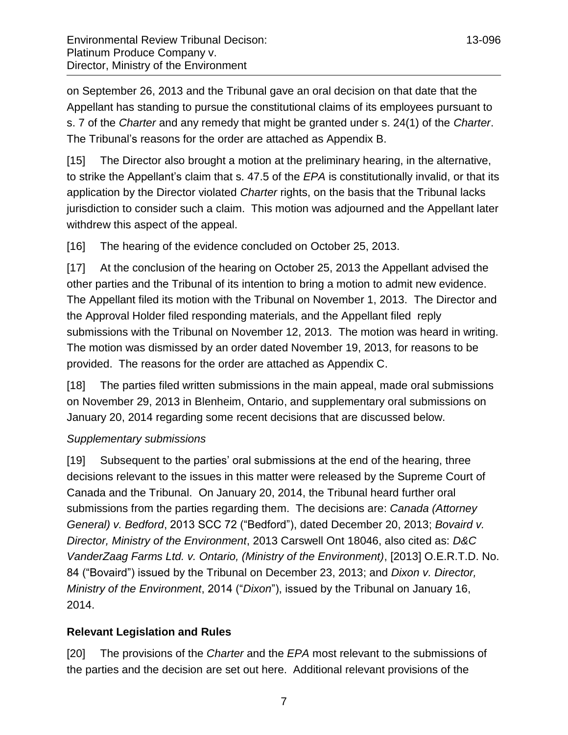on September 26, 2013 and the Tribunal gave an oral decision on that date that the Appellant has standing to pursue the constitutional claims of its employees pursuant to s. 7 of the *Charter* and any remedy that might be granted under s. 24(1) of the *Charter*. The Tribunal's reasons for the order are attached as Appendix B.

[15] The Director also brought a motion at the preliminary hearing, in the alternative, to strike the Appellant's claim that s. 47.5 of the *EPA* is constitutionally invalid, or that its application by the Director violated *Charter* rights, on the basis that the Tribunal lacks jurisdiction to consider such a claim. This motion was adjourned and the Appellant later withdrew this aspect of the appeal.

[16] The hearing of the evidence concluded on October 25, 2013.

[17] At the conclusion of the hearing on October 25, 2013 the Appellant advised the other parties and the Tribunal of its intention to bring a motion to admit new evidence. The Appellant filed its motion with the Tribunal on November 1, 2013. The Director and the Approval Holder filed responding materials, and the Appellant filed reply submissions with the Tribunal on November 12, 2013. The motion was heard in writing. The motion was dismissed by an order dated November 19, 2013, for reasons to be provided. The reasons for the order are attached as Appendix C.

[18] The parties filed written submissions in the main appeal, made oral submissions on November 29, 2013 in Blenheim, Ontario, and supplementary oral submissions on January 20, 2014 regarding some recent decisions that are discussed below.

### <span id="page-6-0"></span>*Supplementary submissions*

[19] Subsequent to the parties' oral submissions at the end of the hearing, three decisions relevant to the issues in this matter were released by the Supreme Court of Canada and the Tribunal. On January 20, 2014, the Tribunal heard further oral submissions from the parties regarding them. The decisions are: *Canada (Attorney General) v. Bedford*, 2013 SCC 72 ("Bedford"), dated December 20, 2013; *Bovaird v. Director, Ministry of the Environment*, 2013 Carswell Ont 18046, also cited as: *D&C VanderZaag Farms Ltd. v. Ontario, (Ministry of the Environment)*, [2013] O.E.R.T.D. No. 84 ("Bovaird") issued by the Tribunal on December 23, 2013; and *Dixon v. Director, Ministry of the Environment*, 2014 ("*Dixon*"), issued by the Tribunal on January 16, 2014.

# <span id="page-6-1"></span>**Relevant Legislation and Rules**

[20] The provisions of the *Charter* and the *EPA* most relevant to the submissions of the parties and the decision are set out here. Additional relevant provisions of the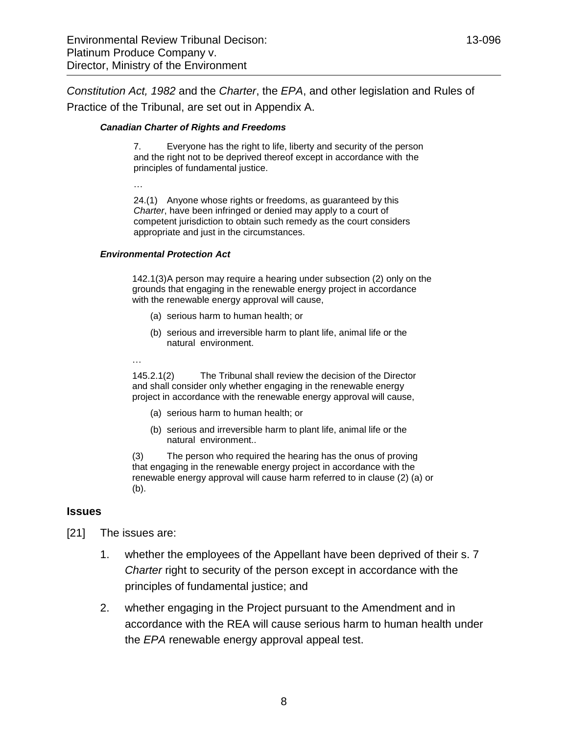*Constitution Act, 1982* and the *Charter*, the *EPA*, and other legislation and Rules of Practice of the Tribunal, are set out in Appendix A.

#### <span id="page-7-0"></span>*Canadian Charter of Rights and Freedoms*

7. Everyone has the right to life, liberty and security of the person and the right not to be deprived thereof except in accordance with the principles of fundamental justice.

…

24.(1) Anyone whose rights or freedoms, as guaranteed by this *Charter*, have been infringed or denied may apply to a court of competent jurisdiction to obtain such remedy as the court considers appropriate and just in the circumstances.

#### <span id="page-7-1"></span>*Environmental Protection Act*

142.1(3)A person may require a hearing under subsection (2) only on the grounds that engaging in the renewable energy project in accordance with the renewable energy approval will cause,

- (a) serious harm to human health; or
- (b) serious and irreversible harm to plant life, animal life or the natural environment.
- …

145.2.1(2) The Tribunal shall review the decision of the Director and shall consider only whether engaging in the renewable energy project in accordance with the renewable energy approval will cause,

- (a) serious harm to human health; or
- (b) serious and irreversible harm to plant life, animal life or the natural environment..

(3) The person who required the hearing has the onus of proving that engaging in the renewable energy project in accordance with the renewable energy approval will cause harm referred to in clause (2) (a) or (b).

#### <span id="page-7-2"></span>**Issues**

- [21] The issues are:
	- 1. whether the employees of the Appellant have been deprived of their s. 7 *Charter* right to security of the person except in accordance with the principles of fundamental justice; and
	- 2. whether engaging in the Project pursuant to the Amendment and in accordance with the REA will cause serious harm to human health under the *EPA* renewable energy approval appeal test.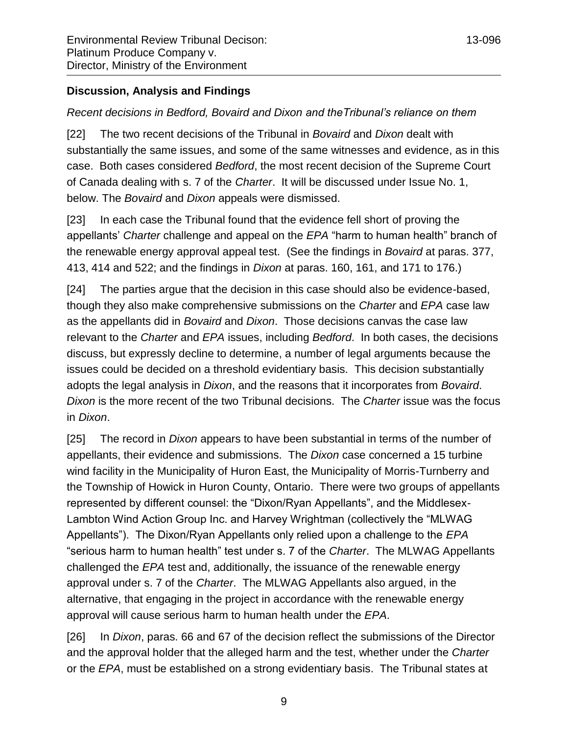# <span id="page-8-1"></span><span id="page-8-0"></span>*Recent decisions in Bedford, Bovaird and Dixon and theTribunal's reliance on them*

[22] The two recent decisions of the Tribunal in *Bovaird* and *Dixon* dealt with substantially the same issues, and some of the same witnesses and evidence, as in this case. Both cases considered *Bedford*, the most recent decision of the Supreme Court of Canada dealing with s. 7 of the *Charter*. It will be discussed under Issue No. 1, below. The *Bovaird* and *Dixon* appeals were dismissed.

[23] In each case the Tribunal found that the evidence fell short of proving the appellants' *Charter* challenge and appeal on the *EPA* "harm to human health" branch of the renewable energy approval appeal test. (See the findings in *Bovaird* at paras. 377, 413, 414 and 522; and the findings in *Dixon* at paras. 160, 161, and 171 to 176.)

[24] The parties argue that the decision in this case should also be evidence-based, though they also make comprehensive submissions on the *Charter* and *EPA* case law as the appellants did in *Bovaird* and *Dixon*. Those decisions canvas the case law relevant to the *Charter* and *EPA* issues, including *Bedford*. In both cases, the decisions discuss, but expressly decline to determine, a number of legal arguments because the issues could be decided on a threshold evidentiary basis. This decision substantially adopts the legal analysis in *Dixon*, and the reasons that it incorporates from *Bovaird*. *Dixon* is the more recent of the two Tribunal decisions. The *Charter* issue was the focus in *Dixon*.

[25] The record in *Dixon* appears to have been substantial in terms of the number of appellants, their evidence and submissions. The *Dixon* case concerned a 15 turbine wind facility in the Municipality of Huron East, the Municipality of Morris-Turnberry and the Township of Howick in Huron County, Ontario. There were two groups of appellants represented by different counsel: the "Dixon/Ryan Appellants", and the Middlesex-Lambton Wind Action Group Inc. and Harvey Wrightman (collectively the "MLWAG Appellants"). The Dixon/Ryan Appellants only relied upon a challenge to the *EPA* "serious harm to human health" test under s. 7 of the *Charter*. The MLWAG Appellants challenged the *EPA* test and, additionally, the issuance of the renewable energy approval under s. 7 of the *Charter*. The MLWAG Appellants also argued, in the alternative, that engaging in the project in accordance with the renewable energy approval will cause serious harm to human health under the *EPA*.

[26] In *Dixon*, paras. 66 and 67 of the decision reflect the submissions of the Director and the approval holder that the alleged harm and the test, whether under the *Charter* or the *EPA*, must be established on a strong evidentiary basis. The Tribunal states at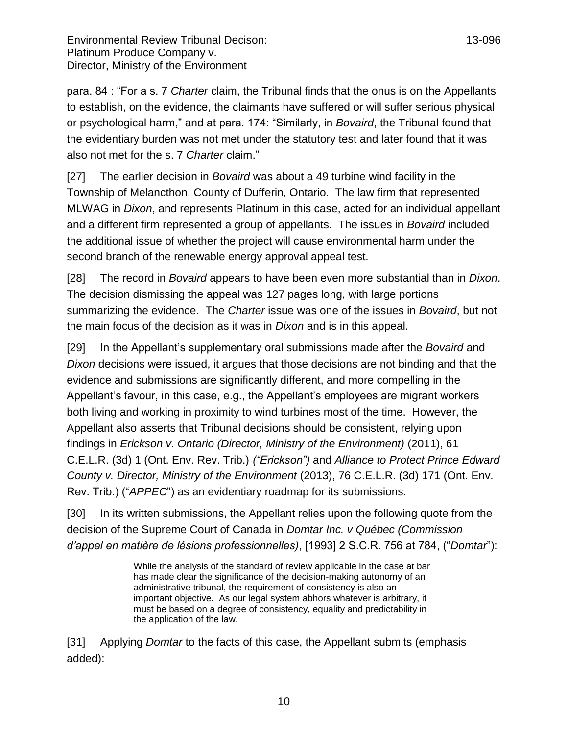para. 84 : "For a s. 7 *Charter* claim, the Tribunal finds that the onus is on the Appellants to establish, on the evidence, the claimants have suffered or will suffer serious physical or psychological harm," and at para. 174: "Similarly, in *Bovaird*, the Tribunal found that the evidentiary burden was not met under the statutory test and later found that it was also not met for the s. 7 *Charter* claim."

[27] The earlier decision in *Bovaird* was about a 49 turbine wind facility in the Township of Melancthon, County of Dufferin, Ontario. The law firm that represented MLWAG in *Dixon*, and represents Platinum in this case, acted for an individual appellant and a different firm represented a group of appellants. The issues in *Bovaird* included the additional issue of whether the project will cause environmental harm under the second branch of the renewable energy approval appeal test.

[28] The record in *Bovaird* appears to have been even more substantial than in *Dixon*. The decision dismissing the appeal was 127 pages long, with large portions summarizing the evidence. The *Charter* issue was one of the issues in *Bovaird*, but not the main focus of the decision as it was in *Dixon* and is in this appeal.

[29] In the Appellant's supplementary oral submissions made after the *Bovaird* and *Dixon* decisions were issued, it argues that those decisions are not binding and that the evidence and submissions are significantly different, and more compelling in the Appellant's favour, in this case, e.g., the Appellant's employees are migrant workers both living and working in proximity to wind turbines most of the time. However, the Appellant also asserts that Tribunal decisions should be consistent, relying upon findings in *Erickson v. Ontario (Director, Ministry of the Environment)* (2011), 61 C.E.L.R. (3d) 1 (Ont. Env. Rev. Trib.) *("Erickson")* and *Alliance to Protect Prince Edward County v. Director, Ministry of the Environment* (2013), 76 C.E.L.R. (3d) 171 (Ont. Env. Rev. Trib.) ("*APPEC*") as an evidentiary roadmap for its submissions.

[30] In its written submissions, the Appellant relies upon the following quote from the decision of the Supreme Court of Canada in *Domtar Inc. v Québec (Commission d'appel en matière de lésions professionnelles)*, [1993] 2 S.C.R. 756 at 784, ("*Domtar*"):

> While the analysis of the standard of review applicable in the case at bar has made clear the significance of the decision-making autonomy of an administrative tribunal, the requirement of consistency is also an important objective. As our legal system abhors whatever is arbitrary, it must be based on a degree of consistency, equality and predictability in the application of the law.

[31] Applying *Domtar* to the facts of this case, the Appellant submits (emphasis added):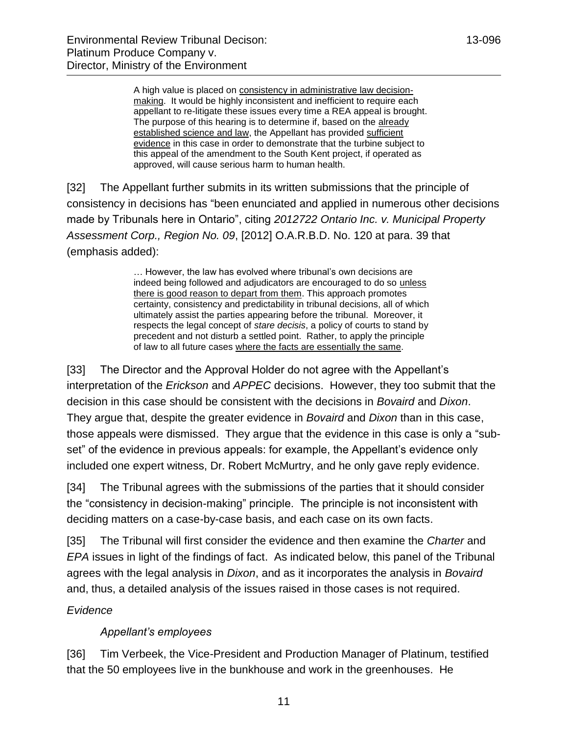A high value is placed on consistency in administrative law decisionmaking. It would be highly inconsistent and inefficient to require each appellant to re-litigate these issues every time a REA appeal is brought. The purpose of this hearing is to determine if, based on the already established science and law, the Appellant has provided sufficient evidence in this case in order to demonstrate that the turbine subject to this appeal of the amendment to the South Kent project, if operated as approved, will cause serious harm to human health.

[32] The Appellant further submits in its written submissions that the principle of consistency in decisions has "been enunciated and applied in numerous other decisions made by Tribunals here in Ontario", citing *2012722 Ontario Inc. v. Municipal Property Assessment Corp., Region No. 09*, [2012] O.A.R.B.D. No. 120 at para. 39 that (emphasis added):

> … However, the law has evolved where tribunal's own decisions are indeed being followed and adjudicators are encouraged to do so unless there is good reason to depart from them. This approach promotes certainty, consistency and predictability in tribunal decisions, all of which ultimately assist the parties appearing before the tribunal. Moreover, it respects the legal concept of *stare decisis*, a policy of courts to stand by precedent and not disturb a settled point. Rather, to apply the principle of law to all future cases where the facts are essentially the same.

[33] The Director and the Approval Holder do not agree with the Appellant's interpretation of the *Erickson* and *APPEC* decisions. However, they too submit that the decision in this case should be consistent with the decisions in *Bovaird* and *Dixon*. They argue that, despite the greater evidence in *Bovaird* and *Dixon* than in this case, those appeals were dismissed. They argue that the evidence in this case is only a "subset" of the evidence in previous appeals: for example, the Appellant's evidence only included one expert witness, Dr. Robert McMurtry, and he only gave reply evidence.

[34] The Tribunal agrees with the submissions of the parties that it should consider the "consistency in decision-making" principle. The principle is not inconsistent with deciding matters on a case-by-case basis, and each case on its own facts.

[35] The Tribunal will first consider the evidence and then examine the *Charter* and *EPA* issues in light of the findings of fact. As indicated below, this panel of the Tribunal agrees with the legal analysis in *Dixon*, and as it incorporates the analysis in *Bovaird* and, thus, a detailed analysis of the issues raised in those cases is not required.

# <span id="page-10-0"></span>*Evidence*

# *Appellant's employees*

<span id="page-10-1"></span>[36] Tim Verbeek, the Vice-President and Production Manager of Platinum, testified that the 50 employees live in the bunkhouse and work in the greenhouses. He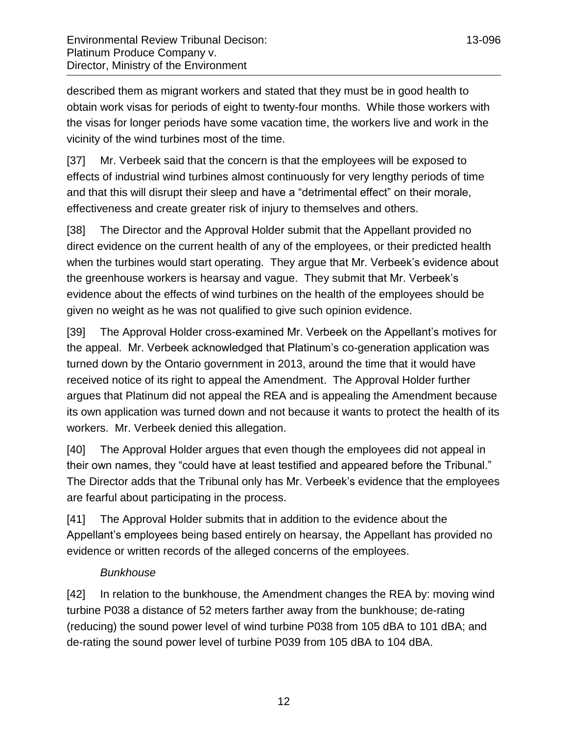described them as migrant workers and stated that they must be in good health to obtain work visas for periods of eight to twenty-four months. While those workers with the visas for longer periods have some vacation time, the workers live and work in the vicinity of the wind turbines most of the time.

[37] Mr. Verbeek said that the concern is that the employees will be exposed to effects of industrial wind turbines almost continuously for very lengthy periods of time and that this will disrupt their sleep and have a "detrimental effect" on their morale, effectiveness and create greater risk of injury to themselves and others.

[38] The Director and the Approval Holder submit that the Appellant provided no direct evidence on the current health of any of the employees, or their predicted health when the turbines would start operating. They argue that Mr. Verbeek's evidence about the greenhouse workers is hearsay and vague. They submit that Mr. Verbeek's evidence about the effects of wind turbines on the health of the employees should be given no weight as he was not qualified to give such opinion evidence.

[39] The Approval Holder cross-examined Mr. Verbeek on the Appellant's motives for the appeal. Mr. Verbeek acknowledged that Platinum's co-generation application was turned down by the Ontario government in 2013, around the time that it would have received notice of its right to appeal the Amendment. The Approval Holder further argues that Platinum did not appeal the REA and is appealing the Amendment because its own application was turned down and not because it wants to protect the health of its workers. Mr. Verbeek denied this allegation.

[40] The Approval Holder argues that even though the employees did not appeal in their own names, they "could have at least testified and appeared before the Tribunal." The Director adds that the Tribunal only has Mr. Verbeek's evidence that the employees are fearful about participating in the process.

[41] The Approval Holder submits that in addition to the evidence about the Appellant's employees being based entirely on hearsay, the Appellant has provided no evidence or written records of the alleged concerns of the employees.

# *Bunkhouse*

<span id="page-11-0"></span>[42] In relation to the bunkhouse, the Amendment changes the REA by: moving wind turbine P038 a distance of 52 meters farther away from the bunkhouse; de-rating (reducing) the sound power level of wind turbine P038 from 105 dBA to 101 dBA; and de-rating the sound power level of turbine P039 from 105 dBA to 104 dBA.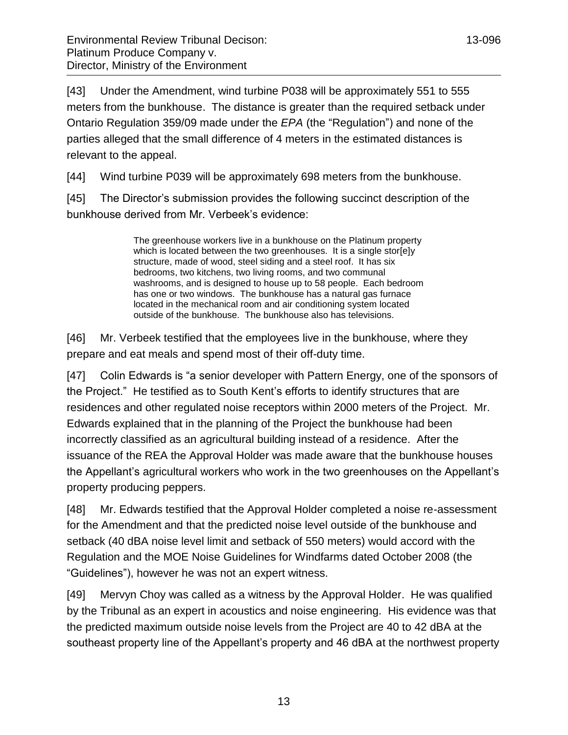[43] Under the Amendment, wind turbine P038 will be approximately 551 to 555 meters from the bunkhouse. The distance is greater than the required setback under Ontario Regulation 359/09 made under the *EPA* (the "Regulation") and none of the parties alleged that the small difference of 4 meters in the estimated distances is relevant to the appeal.

[44] Wind turbine P039 will be approximately 698 meters from the bunkhouse.

[45] The Director's submission provides the following succinct description of the bunkhouse derived from Mr. Verbeek's evidence:

> The greenhouse workers live in a bunkhouse on the Platinum property which is located between the two greenhouses. It is a single stor[e]y structure, made of wood, steel siding and a steel roof. It has six bedrooms, two kitchens, two living rooms, and two communal washrooms, and is designed to house up to 58 people. Each bedroom has one or two windows. The bunkhouse has a natural gas furnace located in the mechanical room and air conditioning system located outside of the bunkhouse. The bunkhouse also has televisions.

[46] Mr. Verbeek testified that the employees live in the bunkhouse, where they prepare and eat meals and spend most of their off-duty time.

[47] Colin Edwards is "a senior developer with Pattern Energy, one of the sponsors of the Project." He testified as to South Kent's efforts to identify structures that are residences and other regulated noise receptors within 2000 meters of the Project. Mr. Edwards explained that in the planning of the Project the bunkhouse had been incorrectly classified as an agricultural building instead of a residence. After the issuance of the REA the Approval Holder was made aware that the bunkhouse houses the Appellant's agricultural workers who work in the two greenhouses on the Appellant's property producing peppers.

[48] Mr. Edwards testified that the Approval Holder completed a noise re-assessment for the Amendment and that the predicted noise level outside of the bunkhouse and setback (40 dBA noise level limit and setback of 550 meters) would accord with the Regulation and the MOE Noise Guidelines for Windfarms dated October 2008 (the "Guidelines"), however he was not an expert witness.

[49] Mervyn Choy was called as a witness by the Approval Holder. He was qualified by the Tribunal as an expert in acoustics and noise engineering. His evidence was that the predicted maximum outside noise levels from the Project are 40 to 42 dBA at the southeast property line of the Appellant's property and 46 dBA at the northwest property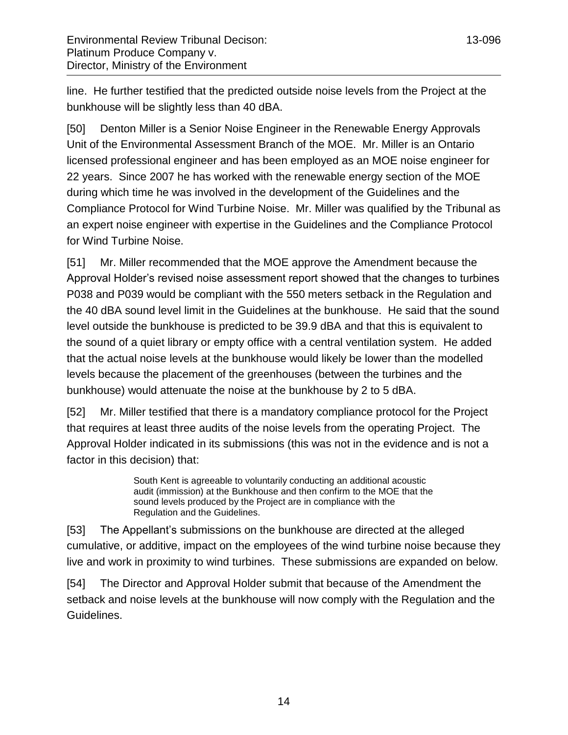line. He further testified that the predicted outside noise levels from the Project at the bunkhouse will be slightly less than 40 dBA.

[50] Denton Miller is a Senior Noise Engineer in the Renewable Energy Approvals Unit of the Environmental Assessment Branch of the MOE. Mr. Miller is an Ontario licensed professional engineer and has been employed as an MOE noise engineer for 22 years. Since 2007 he has worked with the renewable energy section of the MOE during which time he was involved in the development of the Guidelines and the Compliance Protocol for Wind Turbine Noise. Mr. Miller was qualified by the Tribunal as an expert noise engineer with expertise in the Guidelines and the Compliance Protocol for Wind Turbine Noise.

[51] Mr. Miller recommended that the MOE approve the Amendment because the Approval Holder's revised noise assessment report showed that the changes to turbines P038 and P039 would be compliant with the 550 meters setback in the Regulation and the 40 dBA sound level limit in the Guidelines at the bunkhouse. He said that the sound level outside the bunkhouse is predicted to be 39.9 dBA and that this is equivalent to the sound of a quiet library or empty office with a central ventilation system. He added that the actual noise levels at the bunkhouse would likely be lower than the modelled levels because the placement of the greenhouses (between the turbines and the bunkhouse) would attenuate the noise at the bunkhouse by 2 to 5 dBA.

[52] Mr. Miller testified that there is a mandatory compliance protocol for the Project that requires at least three audits of the noise levels from the operating Project. The Approval Holder indicated in its submissions (this was not in the evidence and is not a factor in this decision) that:

> South Kent is agreeable to voluntarily conducting an additional acoustic audit (immission) at the Bunkhouse and then confirm to the MOE that the sound levels produced by the Project are in compliance with the Regulation and the Guidelines.

[53] The Appellant's submissions on the bunkhouse are directed at the alleged cumulative, or additive, impact on the employees of the wind turbine noise because they live and work in proximity to wind turbines. These submissions are expanded on below.

[54] The Director and Approval Holder submit that because of the Amendment the setback and noise levels at the bunkhouse will now comply with the Regulation and the Guidelines.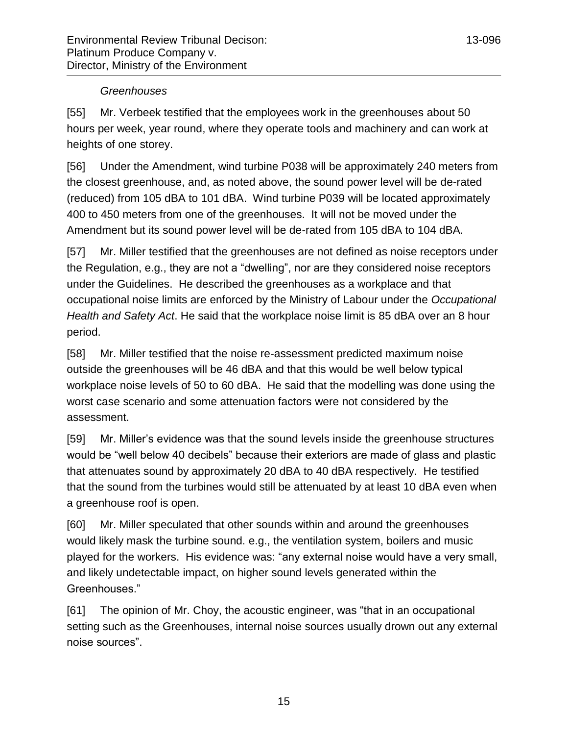### *Greenhouses*

<span id="page-14-0"></span>[55] Mr. Verbeek testified that the employees work in the greenhouses about 50 hours per week, year round, where they operate tools and machinery and can work at heights of one storey.

[56] Under the Amendment, wind turbine P038 will be approximately 240 meters from the closest greenhouse, and, as noted above, the sound power level will be de-rated (reduced) from 105 dBA to 101 dBA. Wind turbine P039 will be located approximately 400 to 450 meters from one of the greenhouses. It will not be moved under the Amendment but its sound power level will be de-rated from 105 dBA to 104 dBA.

[57] Mr. Miller testified that the greenhouses are not defined as noise receptors under the Regulation, e.g., they are not a "dwelling", nor are they considered noise receptors under the Guidelines. He described the greenhouses as a workplace and that occupational noise limits are enforced by the Ministry of Labour under the *Occupational Health and Safety Act*. He said that the workplace noise limit is 85 dBA over an 8 hour period.

[58] Mr. Miller testified that the noise re-assessment predicted maximum noise outside the greenhouses will be 46 dBA and that this would be well below typical workplace noise levels of 50 to 60 dBA. He said that the modelling was done using the worst case scenario and some attenuation factors were not considered by the assessment.

[59] Mr. Miller's evidence was that the sound levels inside the greenhouse structures would be "well below 40 decibels" because their exteriors are made of glass and plastic that attenuates sound by approximately 20 dBA to 40 dBA respectively. He testified that the sound from the turbines would still be attenuated by at least 10 dBA even when a greenhouse roof is open.

[60] Mr. Miller speculated that other sounds within and around the greenhouses would likely mask the turbine sound. e.g., the ventilation system, boilers and music played for the workers. His evidence was: "any external noise would have a very small, and likely undetectable impact, on higher sound levels generated within the Greenhouses."

[61] The opinion of Mr. Choy, the acoustic engineer, was "that in an occupational setting such as the Greenhouses, internal noise sources usually drown out any external noise sources".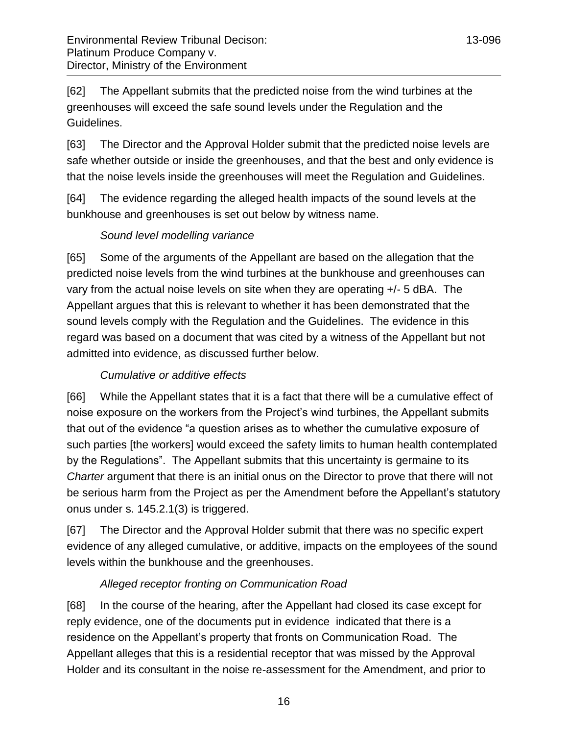[62] The Appellant submits that the predicted noise from the wind turbines at the greenhouses will exceed the safe sound levels under the Regulation and the Guidelines.

[63] The Director and the Approval Holder submit that the predicted noise levels are safe whether outside or inside the greenhouses, and that the best and only evidence is that the noise levels inside the greenhouses will meet the Regulation and Guidelines.

[64] The evidence regarding the alleged health impacts of the sound levels at the bunkhouse and greenhouses is set out below by witness name.

# *Sound level modelling variance*

<span id="page-15-0"></span>[65] Some of the arguments of the Appellant are based on the allegation that the predicted noise levels from the wind turbines at the bunkhouse and greenhouses can vary from the actual noise levels on site when they are operating +/- 5 dBA. The Appellant argues that this is relevant to whether it has been demonstrated that the sound levels comply with the Regulation and the Guidelines. The evidence in this regard was based on a document that was cited by a witness of the Appellant but not admitted into evidence, as discussed further below.

# *Cumulative or additive effects*

<span id="page-15-1"></span>[66] While the Appellant states that it is a fact that there will be a cumulative effect of noise exposure on the workers from the Project's wind turbines, the Appellant submits that out of the evidence "a question arises as to whether the cumulative exposure of such parties [the workers] would exceed the safety limits to human health contemplated by the Regulations". The Appellant submits that this uncertainty is germaine to its *Charter* argument that there is an initial onus on the Director to prove that there will not be serious harm from the Project as per the Amendment before the Appellant's statutory onus under s. 145.2.1(3) is triggered.

[67] The Director and the Approval Holder submit that there was no specific expert evidence of any alleged cumulative, or additive, impacts on the employees of the sound levels within the bunkhouse and the greenhouses.

# *Alleged receptor fronting on Communication Road*

<span id="page-15-2"></span>[68] In the course of the hearing, after the Appellant had closed its case except for reply evidence, one of the documents put in evidence indicated that there is a residence on the Appellant's property that fronts on Communication Road. The Appellant alleges that this is a residential receptor that was missed by the Approval Holder and its consultant in the noise re-assessment for the Amendment, and prior to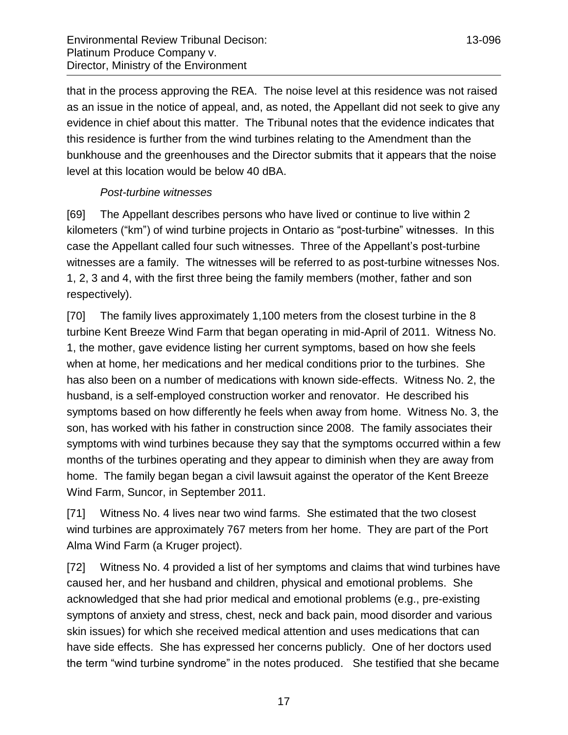that in the process approving the REA. The noise level at this residence was not raised as an issue in the notice of appeal, and, as noted, the Appellant did not seek to give any evidence in chief about this matter. The Tribunal notes that the evidence indicates that this residence is further from the wind turbines relating to the Amendment than the bunkhouse and the greenhouses and the Director submits that it appears that the noise level at this location would be below 40 dBA.

# *Post-turbine witnesses*

<span id="page-16-0"></span>[69] The Appellant describes persons who have lived or continue to live within 2 kilometers ("km") of wind turbine projects in Ontario as "post-turbine" witnesses. In this case the Appellant called four such witnesses. Three of the Appellant's post-turbine witnesses are a family. The witnesses will be referred to as post-turbine witnesses Nos. 1, 2, 3 and 4, with the first three being the family members (mother, father and son respectively).

[70] The family lives approximately 1,100 meters from the closest turbine in the 8 turbine Kent Breeze Wind Farm that began operating in mid-April of 2011. Witness No. 1, the mother, gave evidence listing her current symptoms, based on how she feels when at home, her medications and her medical conditions prior to the turbines. She has also been on a number of medications with known side-effects. Witness No. 2, the husband, is a self-employed construction worker and renovator. He described his symptoms based on how differently he feels when away from home. Witness No. 3, the son, has worked with his father in construction since 2008. The family associates their symptoms with wind turbines because they say that the symptoms occurred within a few months of the turbines operating and they appear to diminish when they are away from home. The family began began a civil lawsuit against the operator of the Kent Breeze Wind Farm, Suncor, in September 2011.

[71] Witness No. 4 lives near two wind farms. She estimated that the two closest wind turbines are approximately 767 meters from her home. They are part of the Port Alma Wind Farm (a Kruger project).

[72] Witness No. 4 provided a list of her symptoms and claims that wind turbines have caused her, and her husband and children, physical and emotional problems. She acknowledged that she had prior medical and emotional problems (e.g., pre-existing symptons of anxiety and stress, chest, neck and back pain, mood disorder and various skin issues) for which she received medical attention and uses medications that can have side effects. She has expressed her concerns publicly. One of her doctors used the term "wind turbine syndrome" in the notes produced. She testified that she became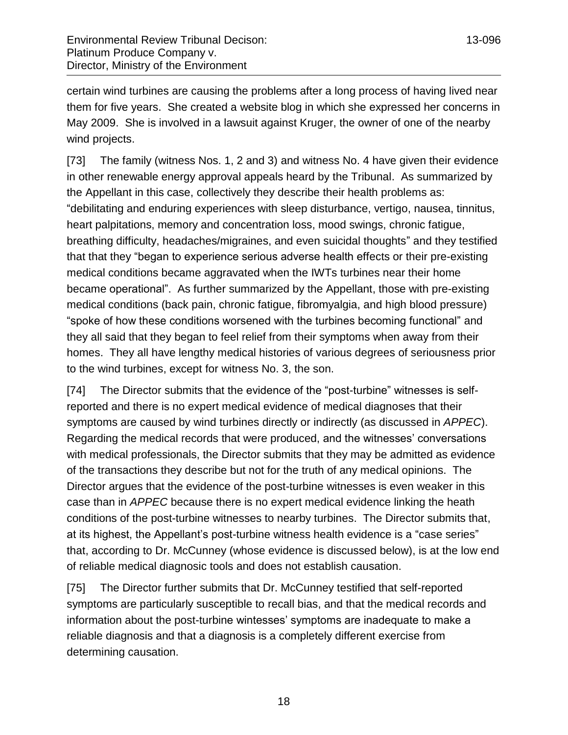certain wind turbines are causing the problems after a long process of having lived near them for five years. She created a website blog in which she expressed her concerns in May 2009. She is involved in a lawsuit against Kruger, the owner of one of the nearby wind projects.

[73] The family (witness Nos. 1, 2 and 3) and witness No. 4 have given their evidence in other renewable energy approval appeals heard by the Tribunal. As summarized by the Appellant in this case, collectively they describe their health problems as: "debilitating and enduring experiences with sleep disturbance, vertigo, nausea, tinnitus, heart palpitations, memory and concentration loss, mood swings, chronic fatigue, breathing difficulty, headaches/migraines, and even suicidal thoughts" and they testified that that they "began to experience serious adverse health effects or their pre-existing medical conditions became aggravated when the IWTs turbines near their home became operational". As further summarized by the Appellant, those with pre-existing medical conditions (back pain, chronic fatigue, fibromyalgia, and high blood pressure) "spoke of how these conditions worsened with the turbines becoming functional" and they all said that they began to feel relief from their symptoms when away from their homes. They all have lengthy medical histories of various degrees of seriousness prior to the wind turbines, except for witness No. 3, the son.

[74] The Director submits that the evidence of the "post-turbine" witnesses is selfreported and there is no expert medical evidence of medical diagnoses that their symptoms are caused by wind turbines directly or indirectly (as discussed in *APPEC*). Regarding the medical records that were produced, and the witnesses' conversations with medical professionals, the Director submits that they may be admitted as evidence of the transactions they describe but not for the truth of any medical opinions. The Director argues that the evidence of the post-turbine witnesses is even weaker in this case than in *APPEC* because there is no expert medical evidence linking the heath conditions of the post-turbine witnesses to nearby turbines. The Director submits that, at its highest, the Appellant's post-turbine witness health evidence is a "case series" that, according to Dr. McCunney (whose evidence is discussed below), is at the low end of reliable medical diagnosic tools and does not establish causation.

[75] The Director further submits that Dr. McCunney testified that self-reported symptoms are particularly susceptible to recall bias, and that the medical records and information about the post-turbine wintesses' symptoms are inadequate to make a reliable diagnosis and that a diagnosis is a completely different exercise from determining causation.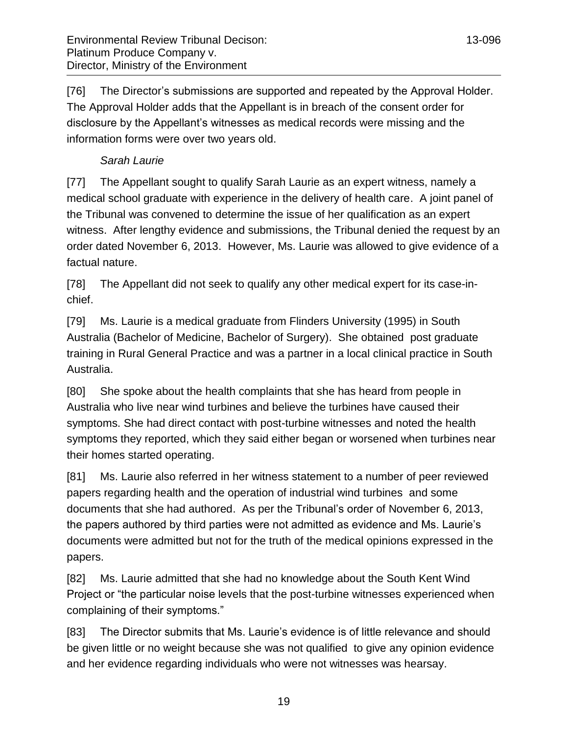[76] The Director's submissions are supported and repeated by the Approval Holder. The Approval Holder adds that the Appellant is in breach of the consent order for disclosure by the Appellant's witnesses as medical records were missing and the information forms were over two years old.

# *Sarah Laurie*

<span id="page-18-0"></span>[77] The Appellant sought to qualify Sarah Laurie as an expert witness, namely a medical school graduate with experience in the delivery of health care. A joint panel of the Tribunal was convened to determine the issue of her qualification as an expert witness. After lengthy evidence and submissions, the Tribunal denied the request by an order dated November 6, 2013. However, Ms. Laurie was allowed to give evidence of a factual nature.

[78] The Appellant did not seek to qualify any other medical expert for its case-inchief.

[79] Ms. Laurie is a medical graduate from Flinders University (1995) in South Australia (Bachelor of Medicine, Bachelor of Surgery). She obtained post graduate training in Rural General Practice and was a partner in a local clinical practice in South Australia.

[80] She spoke about the health complaints that she has heard from people in Australia who live near wind turbines and believe the turbines have caused their symptoms. She had direct contact with post-turbine witnesses and noted the health symptoms they reported, which they said either began or worsened when turbines near their homes started operating.

[81] Ms. Laurie also referred in her witness statement to a number of peer reviewed papers regarding health and the operation of industrial wind turbines and some documents that she had authored. As per the Tribunal's order of November 6, 2013, the papers authored by third parties were not admitted as evidence and Ms. Laurie's documents were admitted but not for the truth of the medical opinions expressed in the papers.

[82] Ms. Laurie admitted that she had no knowledge about the South Kent Wind Project or "the particular noise levels that the post-turbine witnesses experienced when complaining of their symptoms."

[83] The Director submits that Ms. Laurie's evidence is of little relevance and should be given little or no weight because she was not qualified to give any opinion evidence and her evidence regarding individuals who were not witnesses was hearsay.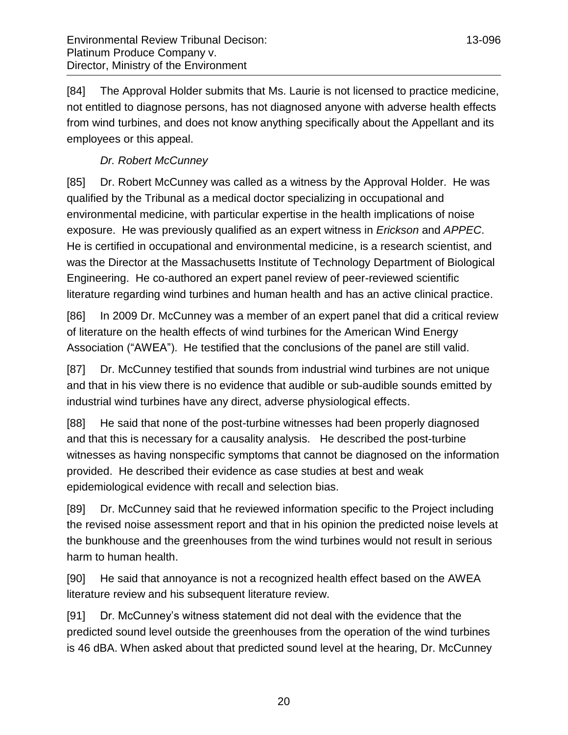# *Dr. Robert McCunney*

<span id="page-19-0"></span>[85] Dr. Robert McCunney was called as a witness by the Approval Holder. He was qualified by the Tribunal as a medical doctor specializing in occupational and environmental medicine, with particular expertise in the health implications of noise exposure. He was previously qualified as an expert witness in *Erickson* and *APPEC*. He is certified in occupational and environmental medicine, is a research scientist, and was the Director at the Massachusetts Institute of Technology Department of Biological Engineering. He co-authored an expert panel review of peer-reviewed scientific literature regarding wind turbines and human health and has an active clinical practice.

[86] In 2009 Dr. McCunney was a member of an expert panel that did a critical review of literature on the health effects of wind turbines for the American Wind Energy Association ("AWEA"). He testified that the conclusions of the panel are still valid.

[87] Dr. McCunney testified that sounds from industrial wind turbines are not unique and that in his view there is no evidence that audible or sub-audible sounds emitted by industrial wind turbines have any direct, adverse physiological effects.

[88] He said that none of the post-turbine witnesses had been properly diagnosed and that this is necessary for a causality analysis. He described the post-turbine witnesses as having nonspecific symptoms that cannot be diagnosed on the information provided. He described their evidence as case studies at best and weak epidemiological evidence with recall and selection bias.

[89] Dr. McCunney said that he reviewed information specific to the Project including the revised noise assessment report and that in his opinion the predicted noise levels at the bunkhouse and the greenhouses from the wind turbines would not result in serious harm to human health.

[90] He said that annoyance is not a recognized health effect based on the AWEA literature review and his subsequent literature review.

[91] Dr. McCunney's witness statement did not deal with the evidence that the predicted sound level outside the greenhouses from the operation of the wind turbines is 46 dBA. When asked about that predicted sound level at the hearing, Dr. McCunney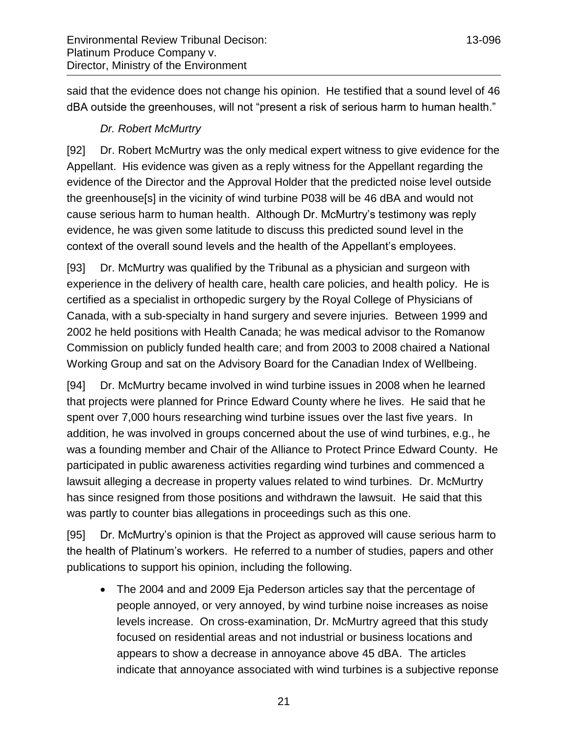said that the evidence does not change his opinion. He testified that a sound level of 46 dBA outside the greenhouses, will not "present a risk of serious harm to human health."

# *Dr. Robert McMurtry*

<span id="page-20-0"></span>[92] Dr. Robert McMurtry was the only medical expert witness to give evidence for the Appellant. His evidence was given as a reply witness for the Appellant regarding the evidence of the Director and the Approval Holder that the predicted noise level outside the greenhouse[s] in the vicinity of wind turbine P038 will be 46 dBA and would not cause serious harm to human health. Although Dr. McMurtry's testimony was reply evidence, he was given some latitude to discuss this predicted sound level in the context of the overall sound levels and the health of the Appellant's employees.

[93] Dr. McMurtry was qualified by the Tribunal as a physician and surgeon with experience in the delivery of health care, health care policies, and health policy. He is certified as a specialist in orthopedic surgery by the Royal College of Physicians of Canada, with a sub-specialty in hand surgery and severe injuries. Between 1999 and 2002 he held positions with Health Canada; he was medical advisor to the Romanow Commission on publicly funded health care; and from 2003 to 2008 chaired a National Working Group and sat on the Advisory Board for the Canadian Index of Wellbeing.

[94] Dr. McMurtry became involved in wind turbine issues in 2008 when he learned that projects were planned for Prince Edward County where he lives. He said that he spent over 7,000 hours researching wind turbine issues over the last five years. In addition, he was involved in groups concerned about the use of wind turbines, e.g., he was a founding member and Chair of the Alliance to Protect Prince Edward County. He participated in public awareness activities regarding wind turbines and commenced a lawsuit alleging a decrease in property values related to wind turbines. Dr. McMurtry has since resigned from those positions and withdrawn the lawsuit. He said that this was partly to counter bias allegations in proceedings such as this one.

[95] Dr. McMurtry's opinion is that the Project as approved will cause serious harm to the health of Platinum's workers. He referred to a number of studies, papers and other publications to support his opinion, including the following.

 The 2004 and and 2009 Eja Pederson articles say that the percentage of people annoyed, or very annoyed, by wind turbine noise increases as noise levels increase. On cross-examination, Dr. McMurtry agreed that this study focused on residential areas and not industrial or business locations and appears to show a decrease in annoyance above 45 dBA. The articles indicate that annoyance associated with wind turbines is a subjective reponse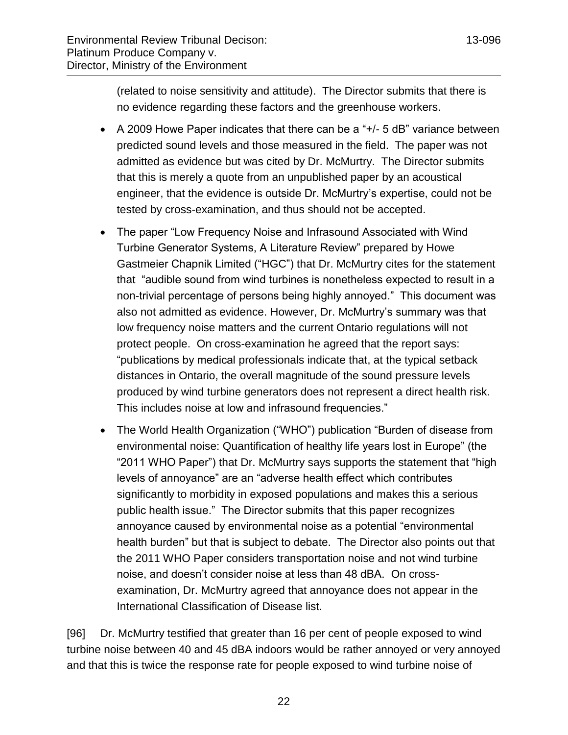(related to noise sensitivity and attitude). The Director submits that there is no evidence regarding these factors and the greenhouse workers.

- A 2009 Howe Paper indicates that there can be a "+/- 5 dB" variance between predicted sound levels and those measured in the field. The paper was not admitted as evidence but was cited by Dr. McMurtry. The Director submits that this is merely a quote from an unpublished paper by an acoustical engineer, that the evidence is outside Dr. McMurtry's expertise, could not be tested by cross-examination, and thus should not be accepted.
- The paper "Low Frequency Noise and Infrasound Associated with Wind Turbine Generator Systems, A Literature Review" prepared by Howe Gastmeier Chapnik Limited ("HGC") that Dr. McMurtry cites for the statement that "audible sound from wind turbines is nonetheless expected to result in a non-trivial percentage of persons being highly annoyed." This document was also not admitted as evidence. However, Dr. McMurtry's summary was that low frequency noise matters and the current Ontario regulations will not protect people. On cross-examination he agreed that the report says: "publications by medical professionals indicate that, at the typical setback distances in Ontario, the overall magnitude of the sound pressure levels produced by wind turbine generators does not represent a direct health risk. This includes noise at low and infrasound frequencies."
- The World Health Organization ("WHO") publication "Burden of disease from environmental noise: Quantification of healthy life years lost in Europe" (the "2011 WHO Paper") that Dr. McMurtry says supports the statement that "high levels of annoyance" are an "adverse health effect which contributes significantly to morbidity in exposed populations and makes this a serious public health issue." The Director submits that this paper recognizes annoyance caused by environmental noise as a potential "environmental health burden" but that is subject to debate. The Director also points out that the 2011 WHO Paper considers transportation noise and not wind turbine noise, and doesn't consider noise at less than 48 dBA. On crossexamination, Dr. McMurtry agreed that annoyance does not appear in the International Classification of Disease list.

[96] Dr. McMurtry testified that greater than 16 per cent of people exposed to wind turbine noise between 40 and 45 dBA indoors would be rather annoyed or very annoyed and that this is twice the response rate for people exposed to wind turbine noise of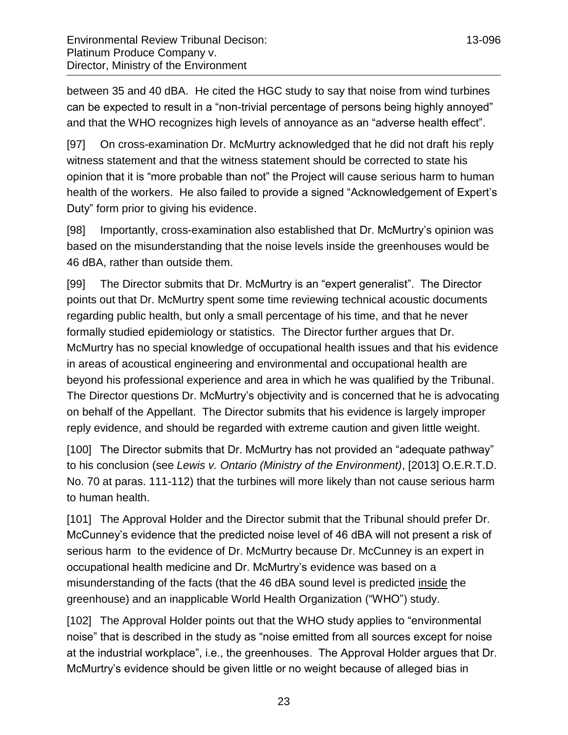between 35 and 40 dBA. He cited the HGC study to say that noise from wind turbines can be expected to result in a "non-trivial percentage of persons being highly annoyed" and that the WHO recognizes high levels of annoyance as an "adverse health effect".

[97] On cross-examination Dr. McMurtry acknowledged that he did not draft his reply witness statement and that the witness statement should be corrected to state his opinion that it is "more probable than not" the Project will cause serious harm to human health of the workers. He also failed to provide a signed "Acknowledgement of Expert's Duty" form prior to giving his evidence.

[98] Importantly, cross-examination also established that Dr. McMurtry's opinion was based on the misunderstanding that the noise levels inside the greenhouses would be 46 dBA, rather than outside them.

[99] The Director submits that Dr. McMurtry is an "expert generalist". The Director points out that Dr. McMurtry spent some time reviewing technical acoustic documents regarding public health, but only a small percentage of his time, and that he never formally studied epidemiology or statistics. The Director further argues that Dr. McMurtry has no special knowledge of occupational health issues and that his evidence in areas of acoustical engineering and environmental and occupational health are beyond his professional experience and area in which he was qualified by the Tribunal. The Director questions Dr. McMurtry's objectivity and is concerned that he is advocating on behalf of the Appellant. The Director submits that his evidence is largely improper reply evidence, and should be regarded with extreme caution and given little weight.

[100] The Director submits that Dr. McMurtry has not provided an "adequate pathway" to his conclusion (see *Lewis v. Ontario (Ministry of the Environment)*, [2013] O.E.R.T.D. No. 70 at paras. 111-112) that the turbines will more likely than not cause serious harm to human health.

[101] The Approval Holder and the Director submit that the Tribunal should prefer Dr. McCunney's evidence that the predicted noise level of 46 dBA will not present a risk of serious harm to the evidence of Dr. McMurtry because Dr. McCunney is an expert in occupational health medicine and Dr. McMurtry's evidence was based on a misunderstanding of the facts (that the 46 dBA sound level is predicted inside the greenhouse) and an inapplicable World Health Organization ("WHO") study.

[102] The Approval Holder points out that the WHO study applies to "environmental noise" that is described in the study as "noise emitted from all sources except for noise at the industrial workplace", i.e., the greenhouses. The Approval Holder argues that Dr. McMurtry's evidence should be given little or no weight because of alleged bias in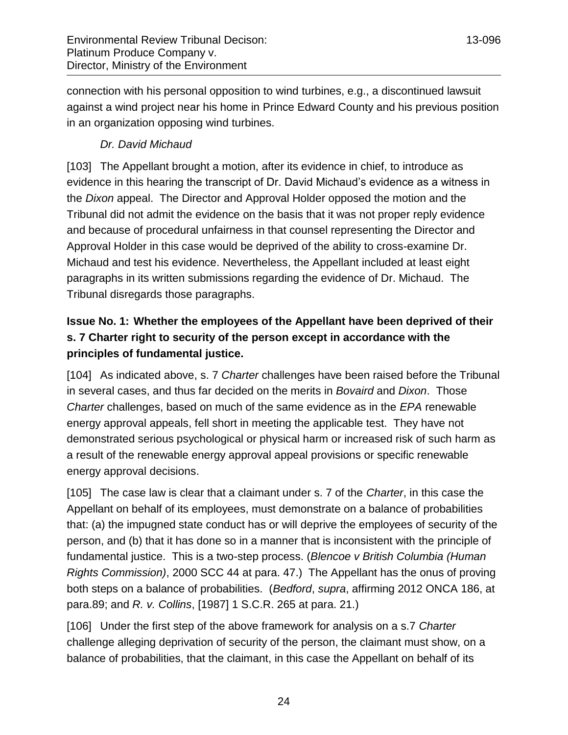connection with his personal opposition to wind turbines, e.g., a discontinued lawsuit against a wind project near his home in Prince Edward County and his previous position in an organization opposing wind turbines.

# *Dr. David Michaud*

<span id="page-23-0"></span>[103] The Appellant brought a motion, after its evidence in chief, to introduce as evidence in this hearing the transcript of Dr. David Michaud's evidence as a witness in the *Dixon* appeal. The Director and Approval Holder opposed the motion and the Tribunal did not admit the evidence on the basis that it was not proper reply evidence and because of procedural unfairness in that counsel representing the Director and Approval Holder in this case would be deprived of the ability to cross-examine Dr. Michaud and test his evidence. Nevertheless, the Appellant included at least eight paragraphs in its written submissions regarding the evidence of Dr. Michaud. The Tribunal disregards those paragraphs.

# <span id="page-23-1"></span>**Issue No. 1: Whether the employees of the Appellant have been deprived of their s. 7 Charter right to security of the person except in accordance with the principles of fundamental justice.**

[104] As indicated above, s. 7 *Charter* challenges have been raised before the Tribunal in several cases, and thus far decided on the merits in *Bovaird* and *Dixon*. Those *Charter* challenges, based on much of the same evidence as in the *EPA* renewable energy approval appeals, fell short in meeting the applicable test. They have not demonstrated serious psychological or physical harm or increased risk of such harm as a result of the renewable energy approval appeal provisions or specific renewable energy approval decisions.

[105] The case law is clear that a claimant under s. 7 of the *Charter*, in this case the Appellant on behalf of its employees, must demonstrate on a balance of probabilities that: (a) the impugned state conduct has or will deprive the employees of security of the person, and (b) that it has done so in a manner that is inconsistent with the principle of fundamental justice. This is a two-step process. (*Blencoe v British Columbia (Human Rights Commission)*, 2000 SCC 44 at para. 47.) The Appellant has the onus of proving both steps on a balance of probabilities. (*Bedford*, *supra*, affirming 2012 ONCA 186, at para.89; and *R. v. Collins*, [1987] 1 S.C.R. 265 at para. 21.)

[106] Under the first step of the above framework for analysis on a s.7 *Charter*  challenge alleging deprivation of security of the person, the claimant must show, on a balance of probabilities, that the claimant, in this case the Appellant on behalf of its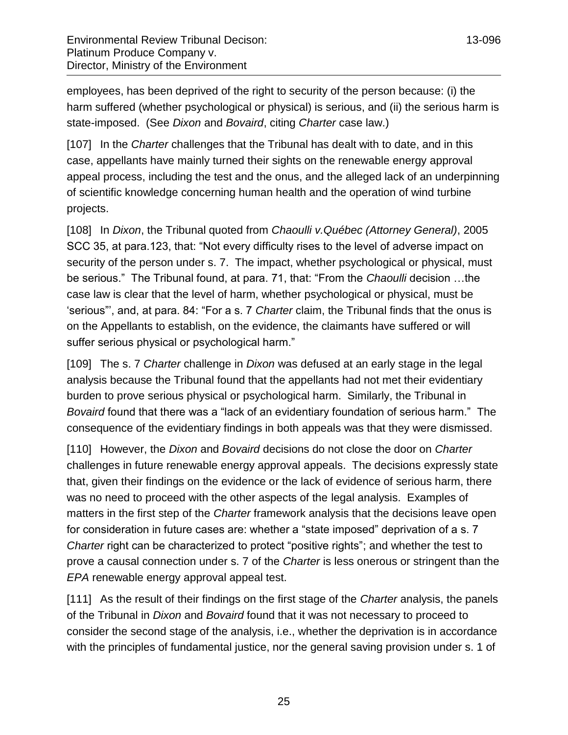employees, has been deprived of the right to security of the person because: (i) the harm suffered (whether psychological or physical) is serious, and (ii) the serious harm is state-imposed. (See *Dixon* and *Bovaird*, citing *Charter* case law.)

[107] In the *Charter* challenges that the Tribunal has dealt with to date, and in this case, appellants have mainly turned their sights on the renewable energy approval appeal process, including the test and the onus, and the alleged lack of an underpinning of scientific knowledge concerning human health and the operation of wind turbine projects.

[108] In *Dixon*, the Tribunal quoted from *Chaoulli v.Québec (Attorney General)*, 2005 SCC 35, at para.123, that: "Not every difficulty rises to the level of adverse impact on security of the person under s. 7. The impact, whether psychological or physical, must be serious." The Tribunal found, at para. 71, that: "From the *Chaoulli* decision …the case law is clear that the level of harm, whether psychological or physical, must be 'serious"', and, at para. 84: "For a s. 7 *Charter* claim, the Tribunal finds that the onus is on the Appellants to establish, on the evidence, the claimants have suffered or will suffer serious physical or psychological harm."

[109] The s. 7 *Charter* challenge in *Dixon* was defused at an early stage in the legal analysis because the Tribunal found that the appellants had not met their evidentiary burden to prove serious physical or psychological harm. Similarly, the Tribunal in *Bovaird* found that there was a "lack of an evidentiary foundation of serious harm." The consequence of the evidentiary findings in both appeals was that they were dismissed.

[110] However, the *Dixon* and *Bovaird* decisions do not close the door on *Charter* challenges in future renewable energy approval appeals. The decisions expressly state that, given their findings on the evidence or the lack of evidence of serious harm, there was no need to proceed with the other aspects of the legal analysis. Examples of matters in the first step of the *Charter* framework analysis that the decisions leave open for consideration in future cases are: whether a "state imposed" deprivation of a s. 7 *Charter* right can be characterized to protect "positive rights"; and whether the test to prove a causal connection under s. 7 of the *Charter* is less onerous or stringent than the *EPA* renewable energy approval appeal test.

[111] As the result of their findings on the first stage of the *Charter* analysis, the panels of the Tribunal in *Dixon* and *Bovaird* found that it was not necessary to proceed to consider the second stage of the analysis, i.e., whether the deprivation is in accordance with the principles of fundamental justice, nor the general saving provision under s. 1 of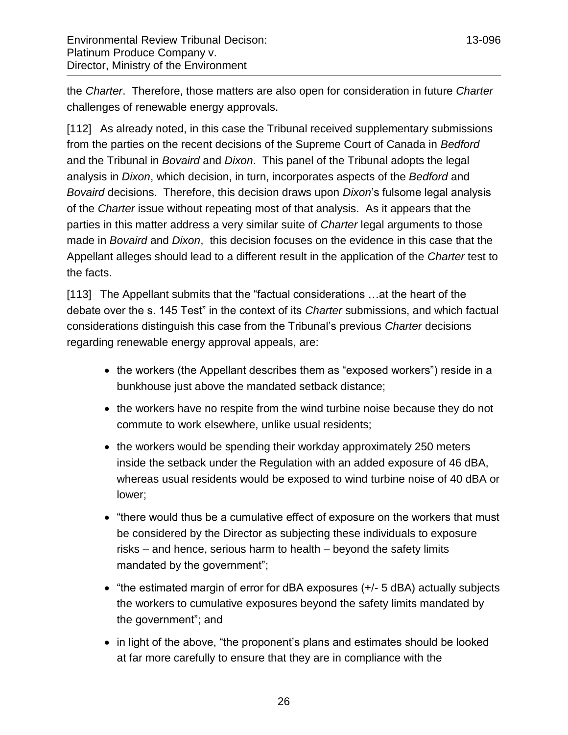the *Charter*. Therefore, those matters are also open for consideration in future *Charter* challenges of renewable energy approvals.

[112] As already noted, in this case the Tribunal received supplementary submissions from the parties on the recent decisions of the Supreme Court of Canada in *Bedford* and the Tribunal in *Bovaird* and *Dixon*. This panel of the Tribunal adopts the legal analysis in *Dixon*, which decision, in turn, incorporates aspects of the *Bedford* and *Bovaird* decisions. Therefore, this decision draws upon *Dixon*'s fulsome legal analysis of the *Charter* issue without repeating most of that analysis. As it appears that the parties in this matter address a very similar suite of *Charter* legal arguments to those made in *Bovaird* and *Dixon*, this decision focuses on the evidence in this case that the Appellant alleges should lead to a different result in the application of the *Charter* test to the facts.

[113] The Appellant submits that the "factual considerations …at the heart of the debate over the s. 145 Test" in the context of its *Charter* submissions, and which factual considerations distinguish this case from the Tribunal's previous *Charter* decisions regarding renewable energy approval appeals, are:

- the workers (the Appellant describes them as "exposed workers") reside in a bunkhouse just above the mandated setback distance;
- the workers have no respite from the wind turbine noise because they do not commute to work elsewhere, unlike usual residents;
- the workers would be spending their workday approximately 250 meters inside the setback under the Regulation with an added exposure of 46 dBA, whereas usual residents would be exposed to wind turbine noise of 40 dBA or lower;
- "there would thus be a cumulative effect of exposure on the workers that must be considered by the Director as subjecting these individuals to exposure risks – and hence, serious harm to health – beyond the safety limits mandated by the government";
- "the estimated margin of error for dBA exposures (+/- 5 dBA) actually subjects the workers to cumulative exposures beyond the safety limits mandated by the government"; and
- in light of the above, "the proponent's plans and estimates should be looked at far more carefully to ensure that they are in compliance with the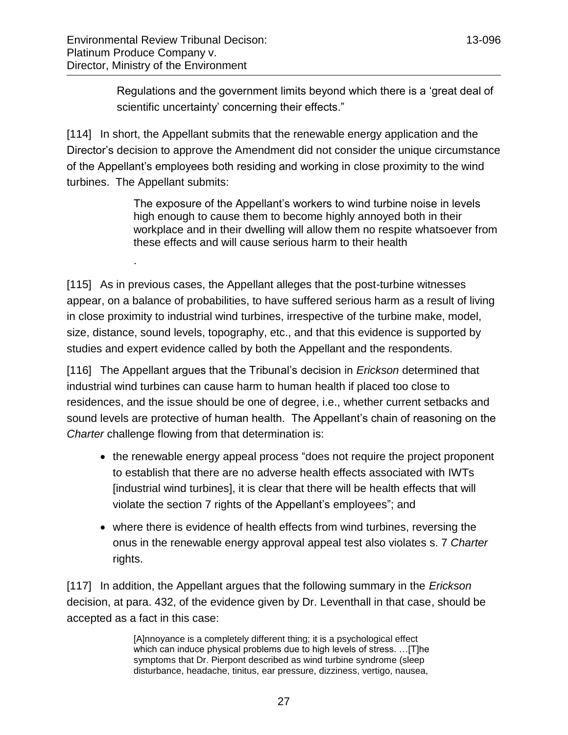.

Regulations and the government limits beyond which there is a 'great deal of scientific uncertainty' concerning their effects."

[114] In short, the Appellant submits that the renewable energy application and the Director's decision to approve the Amendment did not consider the unique circumstance of the Appellant's employees both residing and working in close proximity to the wind turbines. The Appellant submits:

> The exposure of the Appellant's workers to wind turbine noise in levels high enough to cause them to become highly annoyed both in their workplace and in their dwelling will allow them no respite whatsoever from these effects and will cause serious harm to their health

[115] As in previous cases, the Appellant alleges that the post-turbine witnesses appear, on a balance of probabilities, to have suffered serious harm as a result of living in close proximity to industrial wind turbines, irrespective of the turbine make, model, size, distance, sound levels, topography, etc., and that this evidence is supported by studies and expert evidence called by both the Appellant and the respondents.

[116] The Appellant argues that the Tribunal's decision in *Erickson* determined that industrial wind turbines can cause harm to human health if placed too close to residences, and the issue should be one of degree, i.e., whether current setbacks and sound levels are protective of human health. The Appellant's chain of reasoning on the *Charter* challenge flowing from that determination is:

- the renewable energy appeal process "does not require the project proponent to establish that there are no adverse health effects associated with IWTs [industrial wind turbines], it is clear that there will be health effects that will violate the section 7 rights of the Appellant's employees"; and
- where there is evidence of health effects from wind turbines, reversing the onus in the renewable energy approval appeal test also violates s. 7 *Charter* rights.

[117] In addition, the Appellant argues that the following summary in the *Erickson* decision, at para. 432, of the evidence given by Dr. Leventhall in that case, should be accepted as a fact in this case:

> [A]nnoyance is a completely different thing; it is a psychological effect which can induce physical problems due to high levels of stress. …[T]he symptoms that Dr. Pierpont described as wind turbine syndrome (sleep disturbance, headache, tinitus, ear pressure, dizziness, vertigo, nausea,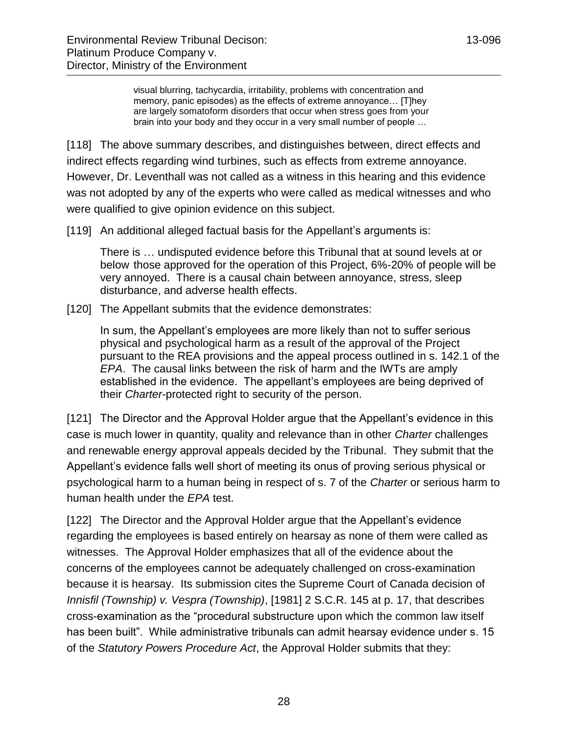visual blurring, tachycardia, irritability, problems with concentration and memory, panic episodes) as the effects of extreme annoyance… [T]hey are largely somatoform disorders that occur when stress goes from your brain into your body and they occur in a very small number of people …

[118] The above summary describes, and distinguishes between, direct effects and indirect effects regarding wind turbines, such as effects from extreme annoyance. However, Dr. Leventhall was not called as a witness in this hearing and this evidence was not adopted by any of the experts who were called as medical witnesses and who were qualified to give opinion evidence on this subject.

[119] An additional alleged factual basis for the Appellant's arguments is:

There is … undisputed evidence before this Tribunal that at sound levels at or below those approved for the operation of this Project, 6%-20% of people will be very annoyed. There is a causal chain between annoyance, stress, sleep disturbance, and adverse health effects.

[120] The Appellant submits that the evidence demonstrates:

In sum, the Appellant's employees are more likely than not to suffer serious physical and psychological harm as a result of the approval of the Project pursuant to the REA provisions and the appeal process outlined in s. 142.1 of the *EPA*. The causal links between the risk of harm and the IWTs are amply established in the evidence. The appellant's employees are being deprived of their *Charter*-protected right to security of the person.

[121] The Director and the Approval Holder argue that the Appellant's evidence in this case is much lower in quantity, quality and relevance than in other *Charter* challenges and renewable energy approval appeals decided by the Tribunal. They submit that the Appellant's evidence falls well short of meeting its onus of proving serious physical or psychological harm to a human being in respect of s. 7 of the *Charter* or serious harm to human health under the *EPA* test.

[122] The Director and the Approval Holder argue that the Appellant's evidence regarding the employees is based entirely on hearsay as none of them were called as witnesses. The Approval Holder emphasizes that all of the evidence about the concerns of the employees cannot be adequately challenged on cross-examination because it is hearsay. Its submission cites the Supreme Court of Canada decision of *Innisfil (Township) v. Vespra (Township)*, [1981] 2 S.C.R. 145 at p. 17, that describes cross-examination as the "procedural substructure upon which the common law itself has been built". While administrative tribunals can admit hearsay evidence under s. 15 of the *Statutory Powers Procedure Act*, the Approval Holder submits that they: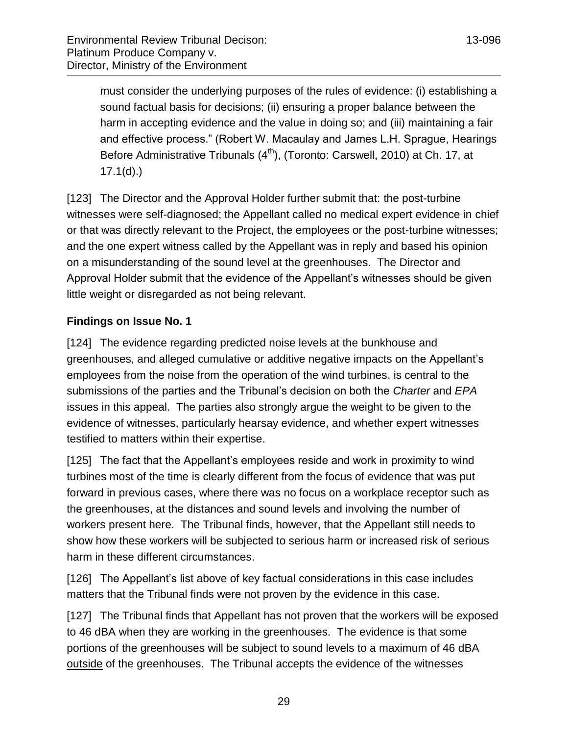must consider the underlying purposes of the rules of evidence: (i) establishing a sound factual basis for decisions; (ii) ensuring a proper balance between the harm in accepting evidence and the value in doing so; and (iii) maintaining a fair and effective process." (Robert W. Macaulay and James L.H. Sprague, Hearings Before Administrative Tribunals  $(4<sup>th</sup>)$ , (Toronto: Carswell, 2010) at Ch. 17, at  $17.1(d)$ .)

[123] The Director and the Approval Holder further submit that: the post-turbine witnesses were self-diagnosed; the Appellant called no medical expert evidence in chief or that was directly relevant to the Project, the employees or the post-turbine witnesses; and the one expert witness called by the Appellant was in reply and based his opinion on a misunderstanding of the sound level at the greenhouses. The Director and Approval Holder submit that the evidence of the Appellant's witnesses should be given little weight or disregarded as not being relevant.

# <span id="page-28-0"></span>**Findings on Issue No. 1**

[124] The evidence regarding predicted noise levels at the bunkhouse and greenhouses, and alleged cumulative or additive negative impacts on the Appellant's employees from the noise from the operation of the wind turbines, is central to the submissions of the parties and the Tribunal's decision on both the *Charter* and *EPA* issues in this appeal. The parties also strongly argue the weight to be given to the evidence of witnesses, particularly hearsay evidence, and whether expert witnesses testified to matters within their expertise.

[125] The fact that the Appellant's employees reside and work in proximity to wind turbines most of the time is clearly different from the focus of evidence that was put forward in previous cases, where there was no focus on a workplace receptor such as the greenhouses, at the distances and sound levels and involving the number of workers present here. The Tribunal finds, however, that the Appellant still needs to show how these workers will be subjected to serious harm or increased risk of serious harm in these different circumstances.

[126] The Appellant's list above of key factual considerations in this case includes matters that the Tribunal finds were not proven by the evidence in this case.

[127] The Tribunal finds that Appellant has not proven that the workers will be exposed to 46 dBA when they are working in the greenhouses. The evidence is that some portions of the greenhouses will be subject to sound levels to a maximum of 46 dBA outside of the greenhouses. The Tribunal accepts the evidence of the witnesses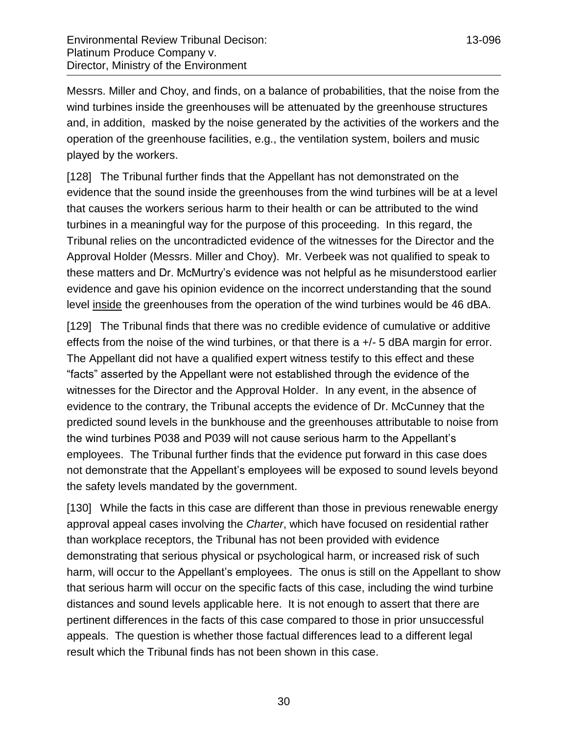Messrs. Miller and Choy, and finds, on a balance of probabilities, that the noise from the wind turbines inside the greenhouses will be attenuated by the greenhouse structures and, in addition, masked by the noise generated by the activities of the workers and the operation of the greenhouse facilities, e.g., the ventilation system, boilers and music played by the workers.

[128] The Tribunal further finds that the Appellant has not demonstrated on the evidence that the sound inside the greenhouses from the wind turbines will be at a level that causes the workers serious harm to their health or can be attributed to the wind turbines in a meaningful way for the purpose of this proceeding. In this regard, the Tribunal relies on the uncontradicted evidence of the witnesses for the Director and the Approval Holder (Messrs. Miller and Choy). Mr. Verbeek was not qualified to speak to these matters and Dr. McMurtry's evidence was not helpful as he misunderstood earlier evidence and gave his opinion evidence on the incorrect understanding that the sound level inside the greenhouses from the operation of the wind turbines would be 46 dBA.

[129] The Tribunal finds that there was no credible evidence of cumulative or additive effects from the noise of the wind turbines, or that there is a +/- 5 dBA margin for error. The Appellant did not have a qualified expert witness testify to this effect and these "facts" asserted by the Appellant were not established through the evidence of the witnesses for the Director and the Approval Holder. In any event, in the absence of evidence to the contrary, the Tribunal accepts the evidence of Dr. McCunney that the predicted sound levels in the bunkhouse and the greenhouses attributable to noise from the wind turbines P038 and P039 will not cause serious harm to the Appellant's employees. The Tribunal further finds that the evidence put forward in this case does not demonstrate that the Appellant's employees will be exposed to sound levels beyond the safety levels mandated by the government.

[130] While the facts in this case are different than those in previous renewable energy approval appeal cases involving the *Charter*, which have focused on residential rather than workplace receptors, the Tribunal has not been provided with evidence demonstrating that serious physical or psychological harm, or increased risk of such harm, will occur to the Appellant's employees. The onus is still on the Appellant to show that serious harm will occur on the specific facts of this case, including the wind turbine distances and sound levels applicable here. It is not enough to assert that there are pertinent differences in the facts of this case compared to those in prior unsuccessful appeals. The question is whether those factual differences lead to a different legal result which the Tribunal finds has not been shown in this case.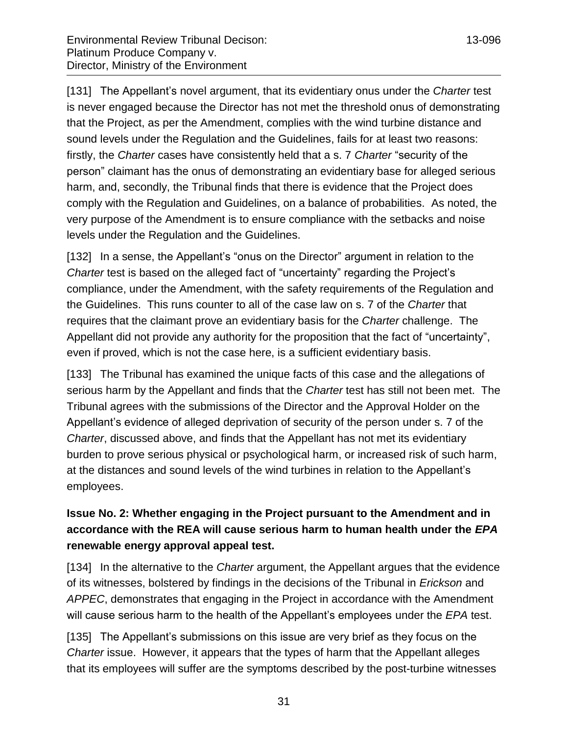[131] The Appellant's novel argument, that its evidentiary onus under the *Charter* test is never engaged because the Director has not met the threshold onus of demonstrating that the Project, as per the Amendment, complies with the wind turbine distance and sound levels under the Regulation and the Guidelines, fails for at least two reasons: firstly, the *Charter* cases have consistently held that a s. 7 *Charter* "security of the person" claimant has the onus of demonstrating an evidentiary base for alleged serious harm, and, secondly, the Tribunal finds that there is evidence that the Project does comply with the Regulation and Guidelines, on a balance of probabilities. As noted, the very purpose of the Amendment is to ensure compliance with the setbacks and noise levels under the Regulation and the Guidelines.

[132] In a sense, the Appellant's "onus on the Director" argument in relation to the *Charter* test is based on the alleged fact of "uncertainty" regarding the Project's compliance, under the Amendment, with the safety requirements of the Regulation and the Guidelines. This runs counter to all of the case law on s. 7 of the *Charter* that requires that the claimant prove an evidentiary basis for the *Charter* challenge. The Appellant did not provide any authority for the proposition that the fact of "uncertainty", even if proved, which is not the case here, is a sufficient evidentiary basis.

[133] The Tribunal has examined the unique facts of this case and the allegations of serious harm by the Appellant and finds that the *Charter* test has still not been met. The Tribunal agrees with the submissions of the Director and the Approval Holder on the Appellant's evidence of alleged deprivation of security of the person under s. 7 of the *Charter*, discussed above, and finds that the Appellant has not met its evidentiary burden to prove serious physical or psychological harm, or increased risk of such harm, at the distances and sound levels of the wind turbines in relation to the Appellant's employees.

# <span id="page-30-0"></span>**Issue No. 2: Whether engaging in the Project pursuant to the Amendment and in accordance with the REA will cause serious harm to human health under the** *EPA* **renewable energy approval appeal test.**

[134] In the alternative to the *Charter* argument, the Appellant argues that the evidence of its witnesses, bolstered by findings in the decisions of the Tribunal in *Erickson* and *APPEC*, demonstrates that engaging in the Project in accordance with the Amendment will cause serious harm to the health of the Appellant's employees under the *EPA* test.

[135] The Appellant's submissions on this issue are very brief as they focus on the *Charter* issue. However, it appears that the types of harm that the Appellant alleges that its employees will suffer are the symptoms described by the post-turbine witnesses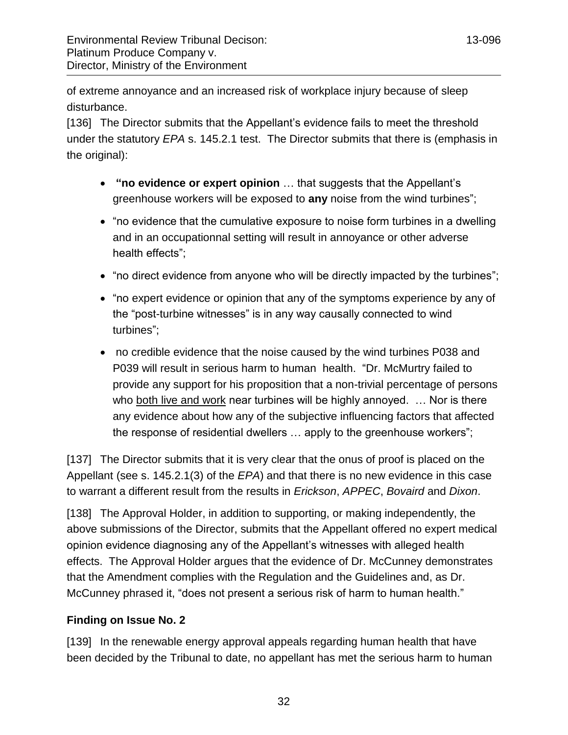of extreme annoyance and an increased risk of workplace injury because of sleep disturbance.

[136] The Director submits that the Appellant's evidence fails to meet the threshold under the statutory *EPA* s. 145.2.1 test. The Director submits that there is (emphasis in the original):

- **"no evidence or expert opinion** … that suggests that the Appellant's greenhouse workers will be exposed to **any** noise from the wind turbines";
- "no evidence that the cumulative exposure to noise form turbines in a dwelling and in an occupationnal setting will result in annoyance or other adverse health effects";
- "no direct evidence from anyone who will be directly impacted by the turbines";
- "no expert evidence or opinion that any of the symptoms experience by any of the "post-turbine witnesses" is in any way causally connected to wind turbines";
- no credible evidence that the noise caused by the wind turbines P038 and P039 will result in serious harm to human health. "Dr. McMurtry failed to provide any support for his proposition that a non-trivial percentage of persons who both live and work near turbines will be highly annoyed. … Nor is there any evidence about how any of the subjective influencing factors that affected the response of residential dwellers … apply to the greenhouse workers";

[137] The Director submits that it is very clear that the onus of proof is placed on the Appellant (see s. 145.2.1(3) of the *EPA*) and that there is no new evidence in this case to warrant a different result from the results in *Erickson*, *APPEC*, *Bovaird* and *Dixon*.

[138] The Approval Holder, in addition to supporting, or making independently, the above submissions of the Director, submits that the Appellant offered no expert medical opinion evidence diagnosing any of the Appellant's witnesses with alleged health effects. The Approval Holder argues that the evidence of Dr. McCunney demonstrates that the Amendment complies with the Regulation and the Guidelines and, as Dr. McCunney phrased it, "does not present a serious risk of harm to human health."

# <span id="page-31-0"></span>**Finding on Issue No. 2**

[139] In the renewable energy approval appeals regarding human health that have been decided by the Tribunal to date, no appellant has met the serious harm to human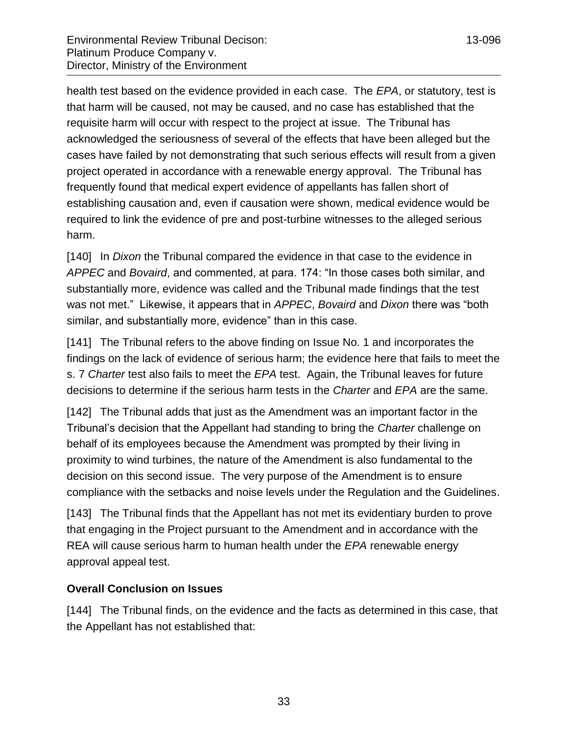health test based on the evidence provided in each case. The *EPA*, or statutory, test is that harm will be caused, not may be caused, and no case has established that the requisite harm will occur with respect to the project at issue. The Tribunal has acknowledged the seriousness of several of the effects that have been alleged but the cases have failed by not demonstrating that such serious effects will result from a given project operated in accordance with a renewable energy approval. The Tribunal has frequently found that medical expert evidence of appellants has fallen short of establishing causation and, even if causation were shown, medical evidence would be required to link the evidence of pre and post-turbine witnesses to the alleged serious harm.

[140] In *Dixon* the Tribunal compared the evidence in that case to the evidence in *APPEC* and *Bovaird*, and commented, at para. 174: "In those cases both similar, and substantially more, evidence was called and the Tribunal made findings that the test was not met." Likewise, it appears that in *APPEC*, *Bovaird* and *Dixon* there was "both similar, and substantially more, evidence" than in this case.

[141] The Tribunal refers to the above finding on Issue No. 1 and incorporates the findings on the lack of evidence of serious harm; the evidence here that fails to meet the s. 7 *Charter* test also fails to meet the *EPA* test. Again, the Tribunal leaves for future decisions to determine if the serious harm tests in the *Charter* and *EPA* are the same.

[142] The Tribunal adds that just as the Amendment was an important factor in the Tribunal's decision that the Appellant had standing to bring the *Charter* challenge on behalf of its employees because the Amendment was prompted by their living in proximity to wind turbines, the nature of the Amendment is also fundamental to the decision on this second issue. The very purpose of the Amendment is to ensure compliance with the setbacks and noise levels under the Regulation and the Guidelines.

[143] The Tribunal finds that the Appellant has not met its evidentiary burden to prove that engaging in the Project pursuant to the Amendment and in accordance with the REA will cause serious harm to human health under the *EPA* renewable energy approval appeal test.

### <span id="page-32-0"></span>**Overall Conclusion on Issues**

[144] The Tribunal finds, on the evidence and the facts as determined in this case, that the Appellant has not established that: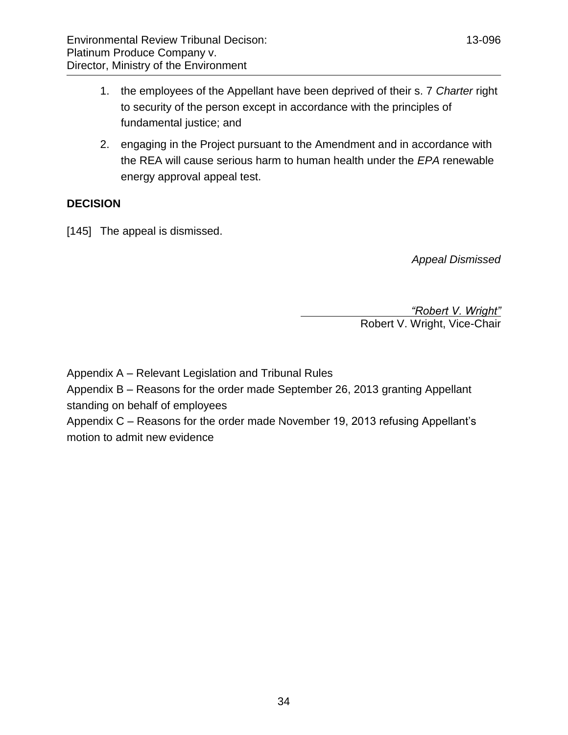- 1. the employees of the Appellant have been deprived of their s. 7 *Charter* right to security of the person except in accordance with the principles of fundamental justice; and
- 2. engaging in the Project pursuant to the Amendment and in accordance with the REA will cause serious harm to human health under the *EPA* renewable energy approval appeal test.

### <span id="page-33-0"></span>**DECISION**

[145] The appeal is dismissed.

*Appeal Dismissed*

*"Robert V. Wright"*

Robert V. Wright, Vice-Chair

Appendix A – Relevant Legislation and Tribunal Rules

Appendix B – Reasons for the order made September 26, 2013 granting Appellant standing on behalf of employees

Appendix C – Reasons for the order made November 19, 2013 refusing Appellant's motion to admit new evidence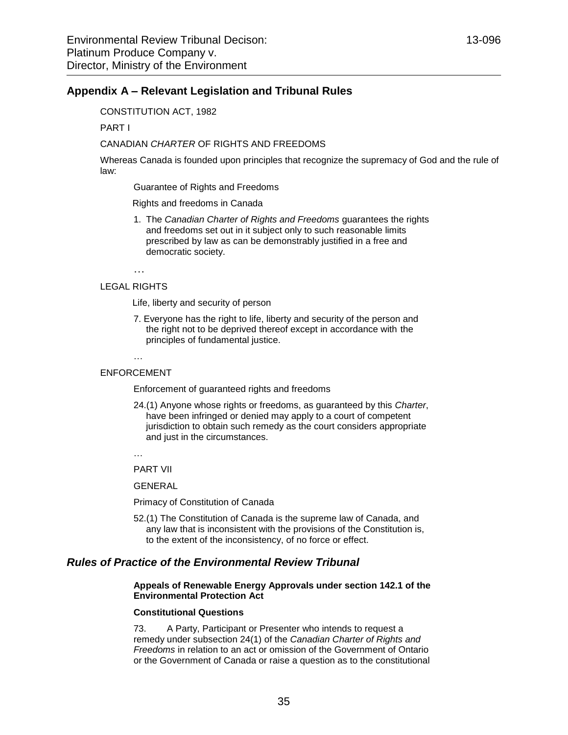### <span id="page-34-0"></span>**Appendix A – Relevant Legislation and Tribunal Rules**

CONSTITUTION ACT, 1982

PART I

#### CANADIAN *CHARTER* OF RIGHTS AND FREEDOMS

Whereas Canada is founded upon principles that recognize the supremacy of God and the rule of law:

Guarantee of Rights and Freedoms

Rights and freedoms in Canada

1. The *Canadian Charter of Rights and Freedoms* guarantees the rights and freedoms set out in it subject only to such reasonable limits prescribed by law as can be demonstrably justified in a free and democratic society.

…

#### LEGAL RIGHTS

Life, liberty and security of person

7. Everyone has the right to life, liberty and security of the person and the right not to be deprived thereof except in accordance with the principles of fundamental justice.

… ENFORCEMENT

Enforcement of guaranteed rights and freedoms

24.(1) Anyone whose rights or freedoms, as guaranteed by this *Charter*, have been infringed or denied may apply to a court of competent jurisdiction to obtain such remedy as the court considers appropriate and just in the circumstances.

…

PART VII

GENERAL

Primacy of Constitution of Canada

52.(1) The Constitution of Canada is the supreme law of Canada, and any law that is inconsistent with the provisions of the Constitution is, to the extent of the inconsistency, of no force or effect.

### *Rules of Practice of the Environmental Review Tribunal*

#### **Appeals of Renewable Energy Approvals under section 142.1 of the Environmental Protection Act**

#### **Constitutional Questions**

73. A Party, Participant or Presenter who intends to request a remedy under subsection 24(1) of the *Canadian Charter of Rights and Freedoms* in relation to an act or omission of the Government of Ontario or the Government of Canada or raise a question as to the constitutional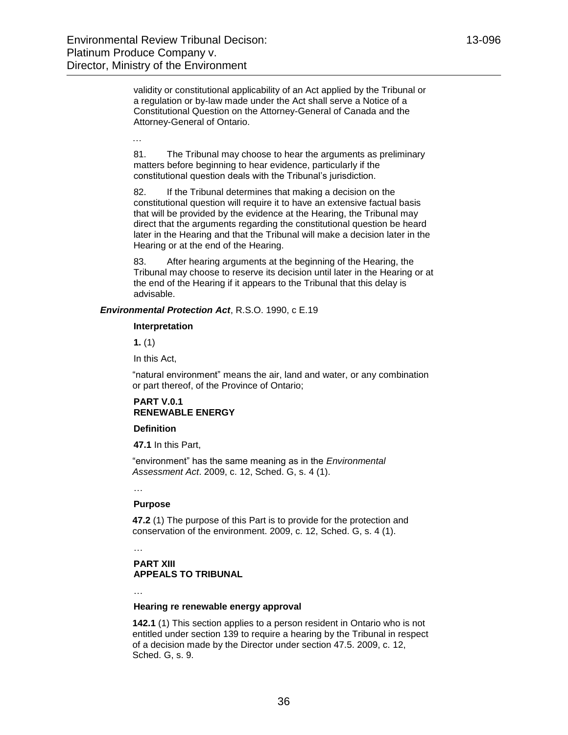…

validity or constitutional applicability of an Act applied by the Tribunal or a regulation or by-law made under the Act shall serve a Notice of a Constitutional Question on the Attorney-General of Canada and the Attorney-General of Ontario.

81. The Tribunal may choose to hear the arguments as preliminary matters before beginning to hear evidence, particularly if the constitutional question deals with the Tribunal's jurisdiction.

82. If the Tribunal determines that making a decision on the constitutional question will require it to have an extensive factual basis that will be provided by the evidence at the Hearing, the Tribunal may direct that the arguments regarding the constitutional question be heard later in the Hearing and that the Tribunal will make a decision later in the Hearing or at the end of the Hearing.

83. After hearing arguments at the beginning of the Hearing, the Tribunal may choose to reserve its decision until later in the Hearing or at the end of the Hearing if it appears to the Tribunal that this delay is advisable.

*Environmental Protection Act*, R.S.O. 1990, c E.19

#### **Interpretation**

**[1.](http://www.e-laws.gov.on.ca/html/statutes/french/elaws_statutes_90e19_f.htm#s1s1)** (1)

In this Act,

"natural environment" means the air, land and water, or any combination or part thereof, of the Province of Ontario;

#### **PART V.0.1 RENEWABLE ENERGY**

#### **Definition**

**47.1** In this Part,

"environment" has the same meaning as in the *Environmental Assessment Act*. 2009, c. 12, Sched. G, s. 4 (1).

…

#### **Purpose**

**47.2** (1) The purpose of this Part is to provide for the protection and conservation of the environment. 2009, c. 12, Sched. G, s. 4 (1).

#### **PART XIII APPEALS TO TRIBUNAL**

…

…

#### **Hearing re renewable energy approval**

**142.1** (1) This section applies to a person resident in Ontario who is not entitled under section 139 to require a hearing by the Tribunal in respect of a decision made by the Director under section 47.5. 2009, c. 12, Sched. G, s. 9.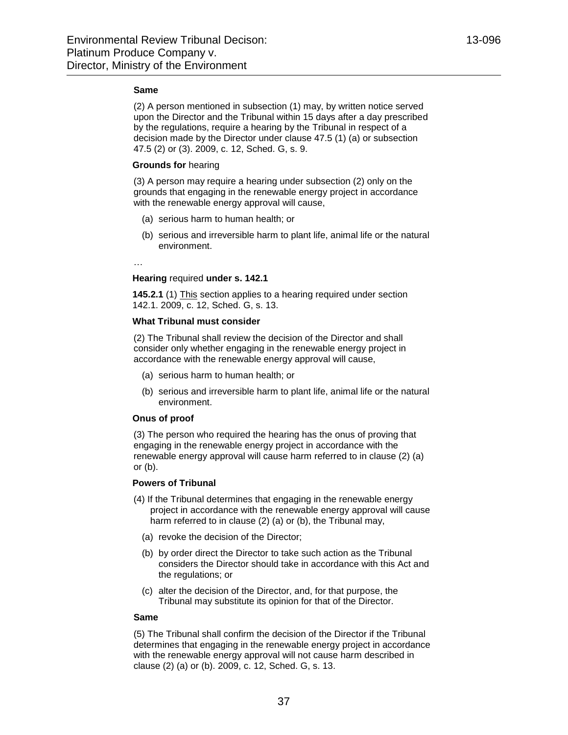#### **Same**

(2) A person mentioned in subsection (1) may, by written notice served upon the Director and the Tribunal within 15 days after a day prescribed by the regulations, require a hearing by the Tribunal in respect of a decision made by the Director under clause 47.5 (1) (a) or subsection 47.5 (2) or (3). 2009, c. 12, Sched. G, s. 9.

#### **Grounds for** hearing

(3) A person may require a hearing under subsection (2) only on the grounds that engaging in the renewable energy project in accordance with the renewable energy approval will cause,

- (a) serious harm to human health; or
- (b) serious and irreversible harm to plant life, animal life or the natural environment.

…

#### **Hearing** required **under s. 142.1**

**145.2.1** (1) This section applies to a hearing required under section 142.1. 2009, c. 12, Sched. G, s. 13.

#### **What Tribunal must consider**

[\(2\)](http://www.e-laws.gov.on.ca/html/statutes/french/elaws_statutes_90e19_f.htm#s145p2p1s2) The Tribunal shall review the decision of the Director and shall consider only whether engaging in the renewable energy project in accordance with the renewable energy approval will cause,

- (a) serious harm to human health; or
- (b) serious and irreversible harm to plant life, animal life or the natural environment.

#### **Onus of proof**

[\(3\)](http://www.e-laws.gov.on.ca/html/statutes/french/elaws_statutes_90e19_f.htm#s145p2p1s3) The person who required the hearing has the onus of proving that engaging in the renewable energy project in accordance with the renewable energy approval will cause harm referred to in clause (2) (a) or (b).

#### **Powers of Tribunal**

- [\(4\)](http://www.e-laws.gov.on.ca/html/statutes/french/elaws_statutes_90e19_f.htm#s145p2p1s4) If the Tribunal determines that engaging in the renewable energy project in accordance with the renewable energy approval will cause harm referred to in clause (2) (a) or (b), the Tribunal may,
	- (a) revoke the decision of the Director;
	- (b) by order direct the Director to take such action as the Tribunal considers the Director should take in accordance with this Act and the regulations; or
	- (c) alter the decision of the Director, and, for that purpose, the Tribunal may substitute its opinion for that of the Director.

#### **Same**

[\(5\)](http://www.e-laws.gov.on.ca/html/statutes/french/elaws_statutes_90e19_f.htm#s145p2p1s5) The Tribunal shall confirm the decision of the Director if the Tribunal determines that engaging in the renewable energy project in accordance with the renewable energy approval will not cause harm described in clause (2) (a) or (b). 2009, c. 12, Sched. G, s. 13.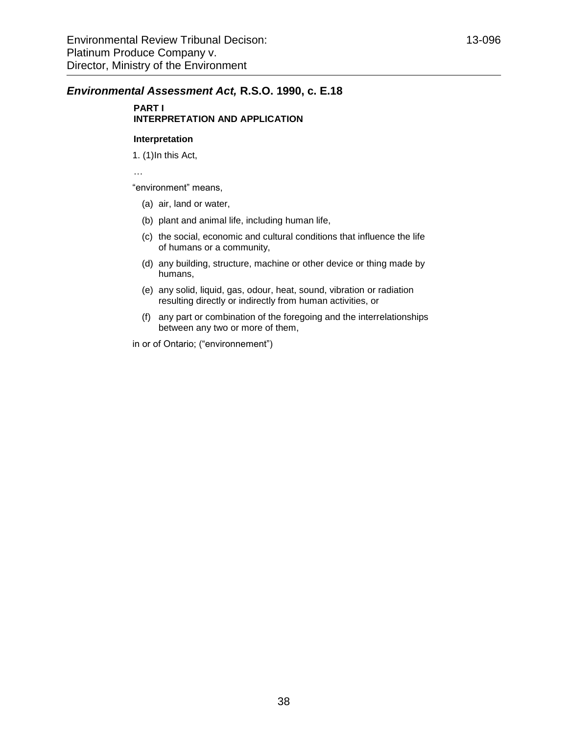### *Environmental Assessment Act,* **R.S.O. 1990, c. E.18**

### **PART I INTERPRETATION AND APPLICATION**

#### **Interpretation**

1. (1)In this Act,

…

"environment" means,

- (a) air, land or water,
- (b) plant and animal life, including human life,
- (c) the social, economic and cultural conditions that influence the life of humans or a community,
- (d) any building, structure, machine or other device or thing made by humans,
- (e) any solid, liquid, gas, odour, heat, sound, vibration or radiation resulting directly or indirectly from human activities, or
- (f) any part or combination of the foregoing and the interrelationships between any two or more of them,

in or of Ontario; ("environnement")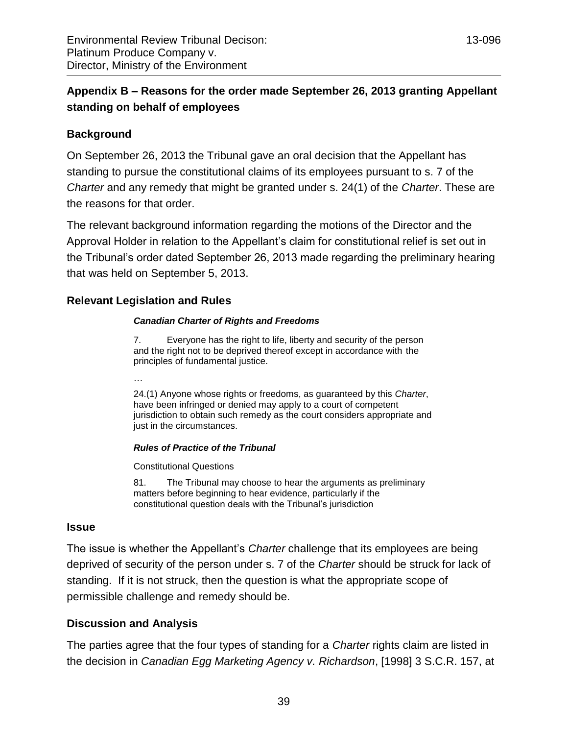# <span id="page-38-0"></span>**Appendix B – Reasons for the order made September 26, 2013 granting Appellant standing on behalf of employees**

# **Background**

On September 26, 2013 the Tribunal gave an oral decision that the Appellant has standing to pursue the constitutional claims of its employees pursuant to s. 7 of the *Charter* and any remedy that might be granted under s. 24(1) of the *Charter*. These are the reasons for that order.

The relevant background information regarding the motions of the Director and the Approval Holder in relation to the Appellant's claim for constitutional relief is set out in the Tribunal's order dated September 26, 2013 made regarding the preliminary hearing that was held on September 5, 2013.

### **Relevant Legislation and Rules**

### *Canadian Charter of Rights and Freedoms*

7. Everyone has the right to life, liberty and security of the person and the right not to be deprived thereof except in accordance with the principles of fundamental justice.

…

24.(1) Anyone whose rights or freedoms, as guaranteed by this *Charter*, have been infringed or denied may apply to a court of competent jurisdiction to obtain such remedy as the court considers appropriate and just in the circumstances.

### *Rules of Practice of the Tribunal*

Constitutional Questions

81. The Tribunal may choose to hear the arguments as preliminary matters before beginning to hear evidence, particularly if the constitutional question deals with the Tribunal's jurisdiction

### **Issue**

The issue is whether the Appellant's *Charter* challenge that its employees are being deprived of security of the person under s. 7 of the *Charter* should be struck for lack of standing. If it is not struck, then the question is what the appropriate scope of permissible challenge and remedy should be.

# **Discussion and Analysis**

The parties agree that the four types of standing for a *Charter* rights claim are listed in the decision in *Canadian Egg Marketing Agency v. Richardson*, [1998] 3 S.C.R. 157, at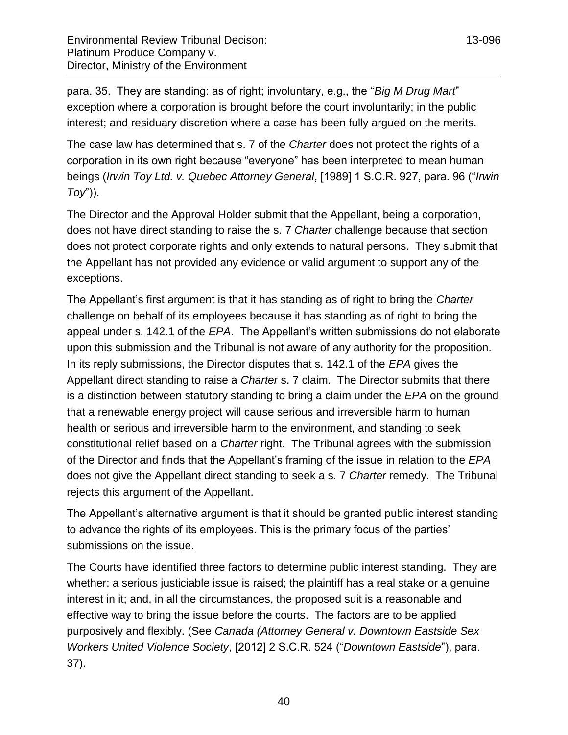para. 35. They are standing: as of right; involuntary, e.g., the "*Big M Drug Mart*" exception where a corporation is brought before the court involuntarily; in the public interest; and residuary discretion where a case has been fully argued on the merits.

The case law has determined that s. 7 of the *Charter* does not protect the rights of a corporation in its own right because "everyone" has been interpreted to mean human beings (*Irwin Toy Ltd. v. Quebec Attorney General*, [1989] 1 S.C.R. 927, para. 96 ("*Irwin Toy*")).

The Director and the Approval Holder submit that the Appellant, being a corporation, does not have direct standing to raise the s. 7 *Charter* challenge because that section does not protect corporate rights and only extends to natural persons. They submit that the Appellant has not provided any evidence or valid argument to support any of the exceptions.

The Appellant's first argument is that it has standing as of right to bring the *Charter* challenge on behalf of its employees because it has standing as of right to bring the appeal under s. 142.1 of the *EPA*. The Appellant's written submissions do not elaborate upon this submission and the Tribunal is not aware of any authority for the proposition. In its reply submissions, the Director disputes that s. 142.1 of the *EPA* gives the Appellant direct standing to raise a *Charter* s. 7 claim. The Director submits that there is a distinction between statutory standing to bring a claim under the *EPA* on the ground that a renewable energy project will cause serious and irreversible harm to human health or serious and irreversible harm to the environment, and standing to seek constitutional relief based on a *Charter* right. The Tribunal agrees with the submission of the Director and finds that the Appellant's framing of the issue in relation to the *EPA* does not give the Appellant direct standing to seek a s. 7 *Charter* remedy. The Tribunal rejects this argument of the Appellant.

The Appellant's alternative argument is that it should be granted public interest standing to advance the rights of its employees. This is the primary focus of the parties' submissions on the issue.

The Courts have identified three factors to determine public interest standing. They are whether: a serious justiciable issue is raised; the plaintiff has a real stake or a genuine interest in it; and, in all the circumstances, the proposed suit is a reasonable and effective way to bring the issue before the courts. The factors are to be applied purposively and flexibly. (See *Canada (Attorney General v. Downtown Eastside Sex Workers United Violence Society*, [2012] 2 S.C.R. 524 ("*Downtown Eastside*"), para. 37).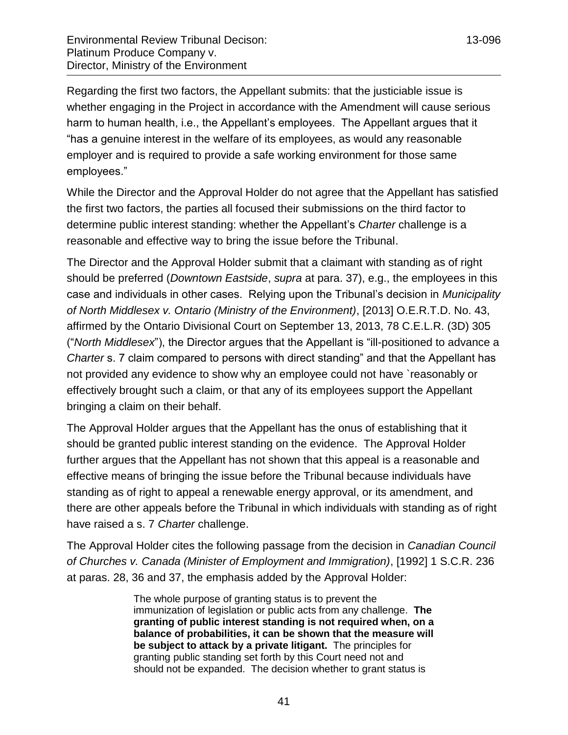Regarding the first two factors, the Appellant submits: that the justiciable issue is whether engaging in the Project in accordance with the Amendment will cause serious harm to human health, i.e., the Appellant's employees. The Appellant argues that it "has a genuine interest in the welfare of its employees, as would any reasonable employer and is required to provide a safe working environment for those same employees."

While the Director and the Approval Holder do not agree that the Appellant has satisfied the first two factors, the parties all focused their submissions on the third factor to determine public interest standing: whether the Appellant's *Charter* challenge is a reasonable and effective way to bring the issue before the Tribunal.

The Director and the Approval Holder submit that a claimant with standing as of right should be preferred (*Downtown Eastside*, *supra* at para. 37), e.g., the employees in this case and individuals in other cases. Relying upon the Tribunal's decision in *Municipality of North Middlesex v. Ontario (Ministry of the Environment)*, [2013] O.E.R.T.D. No. 43, affirmed by the Ontario Divisional Court on September 13, 2013, 78 C.E.L.R. (3D) 305 ("*North Middlesex*"), the Director argues that the Appellant is "ill-positioned to advance a *Charter* s. 7 claim compared to persons with direct standing" and that the Appellant has not provided any evidence to show why an employee could not have `reasonably or effectively brought such a claim, or that any of its employees support the Appellant bringing a claim on their behalf.

The Approval Holder argues that the Appellant has the onus of establishing that it should be granted public interest standing on the evidence. The Approval Holder further argues that the Appellant has not shown that this appeal is a reasonable and effective means of bringing the issue before the Tribunal because individuals have standing as of right to appeal a renewable energy approval, or its amendment, and there are other appeals before the Tribunal in which individuals with standing as of right have raised a s. 7 *Charter* challenge.

The Approval Holder cites the following passage from the decision in *Canadian Council of Churches v. Canada (Minister of Employment and Immigration)*, [1992] 1 S.C.R. 236 at paras. 28, 36 and 37, the emphasis added by the Approval Holder:

> The whole purpose of granting status is to prevent the immunization of legislation or public acts from any challenge. **The granting of public interest standing is not required when, on a balance of probabilities, it can be shown that the measure will be subject to attack by a private litigant.** The principles for granting public standing set forth by this Court need not and should not be expanded. The decision whether to grant status is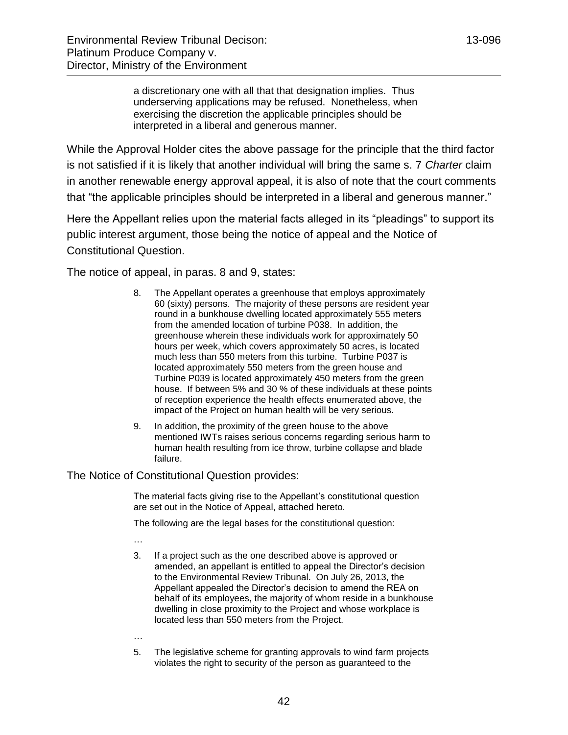a discretionary one with all that that designation implies. Thus underserving applications may be refused. Nonetheless, when exercising the discretion the applicable principles should be interpreted in a liberal and generous manner.

While the Approval Holder cites the above passage for the principle that the third factor is not satisfied if it is likely that another individual will bring the same s. 7 *Charter* claim in another renewable energy approval appeal, it is also of note that the court comments that "the applicable principles should be interpreted in a liberal and generous manner."

Here the Appellant relies upon the material facts alleged in its "pleadings" to support its public interest argument, those being the notice of appeal and the Notice of Constitutional Question.

The notice of appeal, in paras. 8 and 9, states:

- 8. The Appellant operates a greenhouse that employs approximately 60 (sixty) persons. The majority of these persons are resident year round in a bunkhouse dwelling located approximately 555 meters from the amended location of turbine P038. In addition, the greenhouse wherein these individuals work for approximately 50 hours per week, which covers approximately 50 acres, is located much less than 550 meters from this turbine. Turbine P037 is located approximately 550 meters from the green house and Turbine P039 is located approximately 450 meters from the green house. If between 5% and 30 % of these individuals at these points of reception experience the health effects enumerated above, the impact of the Project on human health will be very serious.
- 9. In addition, the proximity of the green house to the above mentioned IWTs raises serious concerns regarding serious harm to human health resulting from ice throw, turbine collapse and blade failure.

The Notice of Constitutional Question provides:

The material facts giving rise to the Appellant's constitutional question are set out in the Notice of Appeal, attached hereto.

The following are the legal bases for the constitutional question:

- 3. If a project such as the one described above is approved or amended, an appellant is entitled to appeal the Director's decision to the Environmental Review Tribunal. On July 26, 2013, the Appellant appealed the Director's decision to amend the REA on behalf of its employees, the majority of whom reside in a bunkhouse dwelling in close proximity to the Project and whose workplace is located less than 550 meters from the Project.
- …

…

5. The legislative scheme for granting approvals to wind farm projects violates the right to security of the person as guaranteed to the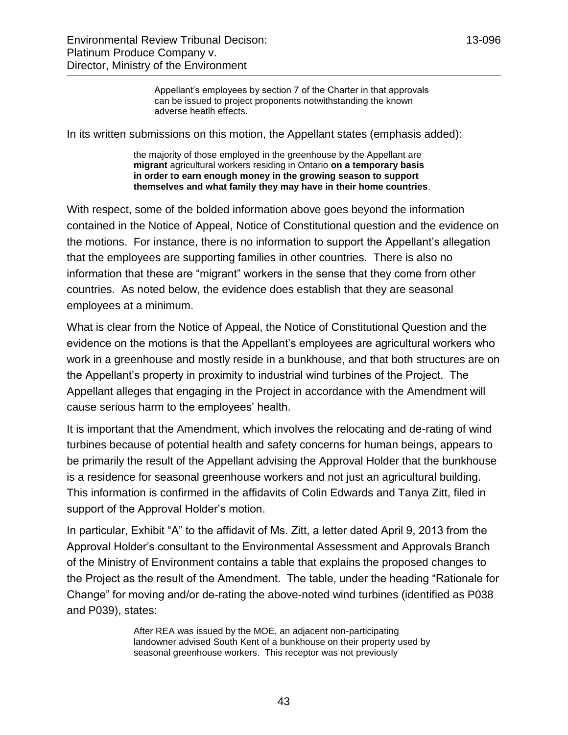Appellant's employees by section 7 of the Charter in that approvals can be issued to project proponents notwithstanding the known adverse heatlh effects.

In its written submissions on this motion, the Appellant states (emphasis added):

the majority of those employed in the greenhouse by the Appellant are **migrant** agricultural workers residing in Ontario **on a temporary basis in order to earn enough money in the growing season to support themselves and what family they may have in their home countries**.

With respect, some of the bolded information above goes beyond the information contained in the Notice of Appeal, Notice of Constitutional question and the evidence on the motions. For instance, there is no information to support the Appellant's allegation that the employees are supporting families in other countries. There is also no information that these are "migrant" workers in the sense that they come from other countries. As noted below, the evidence does establish that they are seasonal employees at a minimum.

What is clear from the Notice of Appeal, the Notice of Constitutional Question and the evidence on the motions is that the Appellant's employees are agricultural workers who work in a greenhouse and mostly reside in a bunkhouse, and that both structures are on the Appellant's property in proximity to industrial wind turbines of the Project. The Appellant alleges that engaging in the Project in accordance with the Amendment will cause serious harm to the employees' health.

It is important that the Amendment, which involves the relocating and de-rating of wind turbines because of potential health and safety concerns for human beings, appears to be primarily the result of the Appellant advising the Approval Holder that the bunkhouse is a residence for seasonal greenhouse workers and not just an agricultural building. This information is confirmed in the affidavits of Colin Edwards and Tanya Zitt, filed in support of the Approval Holder's motion.

In particular, Exhibit "A" to the affidavit of Ms. Zitt, a letter dated April 9, 2013 from the Approval Holder's consultant to the Environmental Assessment and Approvals Branch of the Ministry of Environment contains a table that explains the proposed changes to the Project as the result of the Amendment. The table, under the heading "Rationale for Change" for moving and/or de-rating the above-noted wind turbines (identified as P038 and P039), states:

> After REA was issued by the MOE, an adjacent non-participating landowner advised South Kent of a bunkhouse on their property used by seasonal greenhouse workers. This receptor was not previously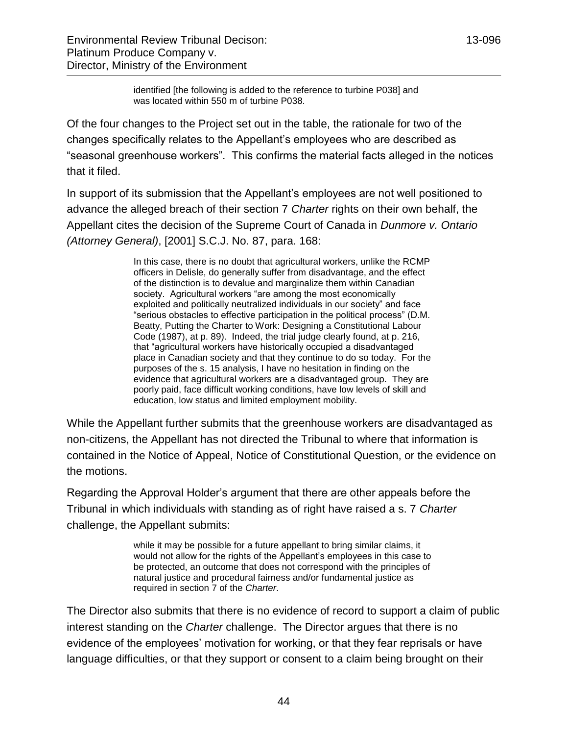identified [the following is added to the reference to turbine P038] and was located within 550 m of turbine P038.

Of the four changes to the Project set out in the table, the rationale for two of the changes specifically relates to the Appellant's employees who are described as "seasonal greenhouse workers". This confirms the material facts alleged in the notices that it filed.

In support of its submission that the Appellant's employees are not well positioned to advance the alleged breach of their section 7 *Charter* rights on their own behalf, the Appellant cites the decision of the Supreme Court of Canada in *Dunmore v. Ontario (Attorney General)*, [2001] S.C.J. No. 87, para. 168:

> In this case, there is no doubt that agricultural workers, unlike the RCMP officers in Delisle, do generally suffer from disadvantage, and the effect of the distinction is to devalue and marginalize them within Canadian society. Agricultural workers "are among the most economically exploited and politically neutralized individuals in our society" and face "serious obstacles to effective participation in the political process" (D.M. Beatty, Putting the Charter to Work: Designing a Constitutional Labour Code (1987), at p. 89). Indeed, the trial judge clearly found, at p. 216, that "agricultural workers have historically occupied a disadvantaged place in Canadian society and that they continue to do so today. For the purposes of the s. 15 analysis, I have no hesitation in finding on the evidence that agricultural workers are a disadvantaged group. They are poorly paid, face difficult working conditions, have low levels of skill and education, low status and limited employment mobility.

While the Appellant further submits that the greenhouse workers are disadvantaged as non-citizens, the Appellant has not directed the Tribunal to where that information is contained in the Notice of Appeal, Notice of Constitutional Question, or the evidence on the motions.

Regarding the Approval Holder's argument that there are other appeals before the Tribunal in which individuals with standing as of right have raised a s. 7 *Charter* challenge, the Appellant submits:

> while it may be possible for a future appellant to bring similar claims, it would not allow for the rights of the Appellant's employees in this case to be protected, an outcome that does not correspond with the principles of natural justice and procedural fairness and/or fundamental justice as required in section 7 of the *Charter*.

The Director also submits that there is no evidence of record to support a claim of public interest standing on the *Charter* challenge. The Director argues that there is no evidence of the employees' motivation for working, or that they fear reprisals or have language difficulties, or that they support or consent to a claim being brought on their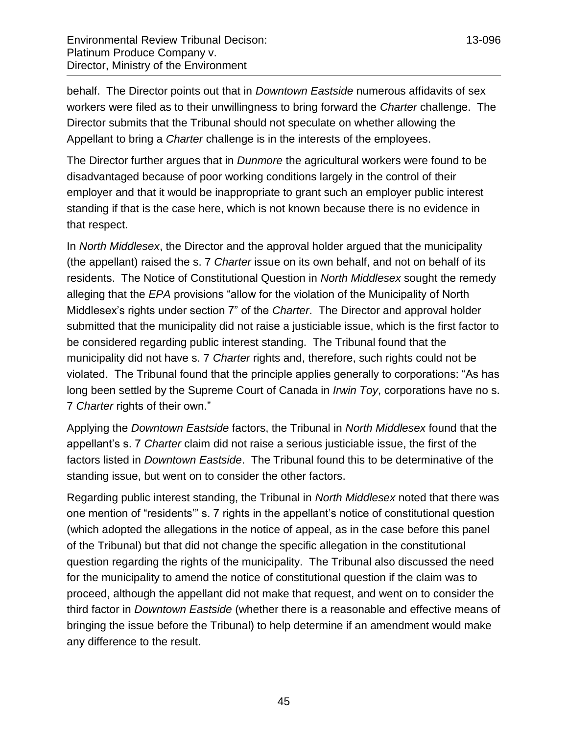behalf. The Director points out that in *Downtown Eastside* numerous affidavits of sex workers were filed as to their unwillingness to bring forward the *Charter* challenge. The Director submits that the Tribunal should not speculate on whether allowing the Appellant to bring a *Charter* challenge is in the interests of the employees.

The Director further argues that in *Dunmore* the agricultural workers were found to be disadvantaged because of poor working conditions largely in the control of their employer and that it would be inappropriate to grant such an employer public interest standing if that is the case here, which is not known because there is no evidence in that respect.

In *North Middlesex*, the Director and the approval holder argued that the municipality (the appellant) raised the s. 7 *Charter* issue on its own behalf, and not on behalf of its residents. The Notice of Constitutional Question in *North Middlesex* sought the remedy alleging that the *EPA* provisions "allow for the violation of the Municipality of North Middlesex's rights under section 7" of the *Charter*. The Director and approval holder submitted that the municipality did not raise a justiciable issue, which is the first factor to be considered regarding public interest standing. The Tribunal found that the municipality did not have s. 7 *Charter* rights and, therefore, such rights could not be violated. The Tribunal found that the principle applies generally to corporations: "As has long been settled by the Supreme Court of Canada in *Irwin Toy*, corporations have no s. 7 *Charter* rights of their own."

Applying the *Downtown Eastside* factors, the Tribunal in *North Middlesex* found that the appellant's s. 7 *Charter* claim did not raise a serious justiciable issue, the first of the factors listed in *Downtown Eastside*. The Tribunal found this to be determinative of the standing issue, but went on to consider the other factors.

Regarding public interest standing, the Tribunal in *North Middlesex* noted that there was one mention of "residents'" s. 7 rights in the appellant's notice of constitutional question (which adopted the allegations in the notice of appeal, as in the case before this panel of the Tribunal) but that did not change the specific allegation in the constitutional question regarding the rights of the municipality. The Tribunal also discussed the need for the municipality to amend the notice of constitutional question if the claim was to proceed, although the appellant did not make that request, and went on to consider the third factor in *Downtown Eastside* (whether there is a reasonable and effective means of bringing the issue before the Tribunal) to help determine if an amendment would make any difference to the result.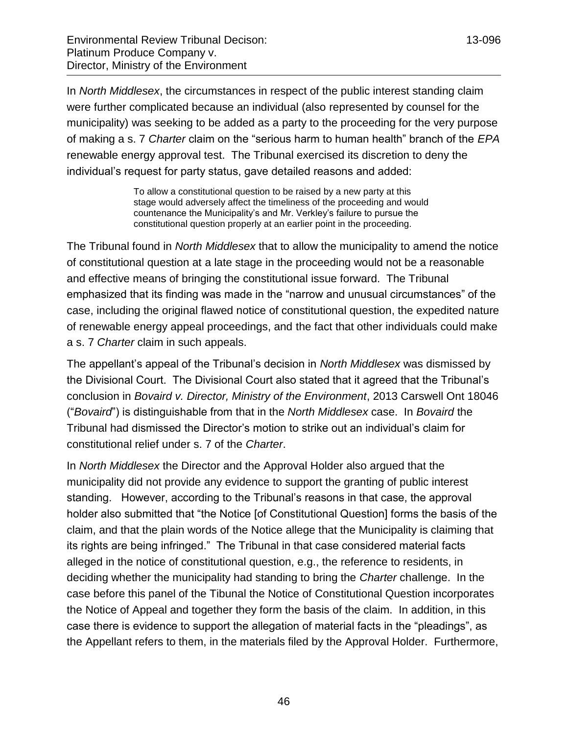In *North Middlesex*, the circumstances in respect of the public interest standing claim were further complicated because an individual (also represented by counsel for the municipality) was seeking to be added as a party to the proceeding for the very purpose of making a s. 7 *Charter* claim on the "serious harm to human health" branch of the *EPA* renewable energy approval test. The Tribunal exercised its discretion to deny the individual's request for party status, gave detailed reasons and added:

> To allow a constitutional question to be raised by a new party at this stage would adversely affect the timeliness of the proceeding and would countenance the Municipality's and Mr. Verkley's failure to pursue the constitutional question properly at an earlier point in the proceeding.

The Tribunal found in *North Middlesex* that to allow the municipality to amend the notice of constitutional question at a late stage in the proceeding would not be a reasonable and effective means of bringing the constitutional issue forward. The Tribunal emphasized that its finding was made in the "narrow and unusual circumstances" of the case, including the original flawed notice of constitutional question, the expedited nature of renewable energy appeal proceedings, and the fact that other individuals could make a s. 7 *Charter* claim in such appeals.

The appellant's appeal of the Tribunal's decision in *North Middlesex* was dismissed by the Divisional Court. The Divisional Court also stated that it agreed that the Tribunal's conclusion in *Bovaird v. Director, Ministry of the Environment*, 2013 Carswell Ont 18046 ("*Bovaird*") is distinguishable from that in the *North Middlesex* case. In *Bovaird* the Tribunal had dismissed the Director's motion to strike out an individual's claim for constitutional relief under s. 7 of the *Charter*.

In *North Middlesex* the Director and the Approval Holder also argued that the municipality did not provide any evidence to support the granting of public interest standing. However, according to the Tribunal's reasons in that case, the approval holder also submitted that "the Notice [of Constitutional Question] forms the basis of the claim, and that the plain words of the Notice allege that the Municipality is claiming that its rights are being infringed." The Tribunal in that case considered material facts alleged in the notice of constitutional question, e.g., the reference to residents, in deciding whether the municipality had standing to bring the *Charter* challenge. In the case before this panel of the Tibunal the Notice of Constitutional Question incorporates the Notice of Appeal and together they form the basis of the claim. In addition, in this case there is evidence to support the allegation of material facts in the "pleadings", as the Appellant refers to them, in the materials filed by the Approval Holder. Furthermore,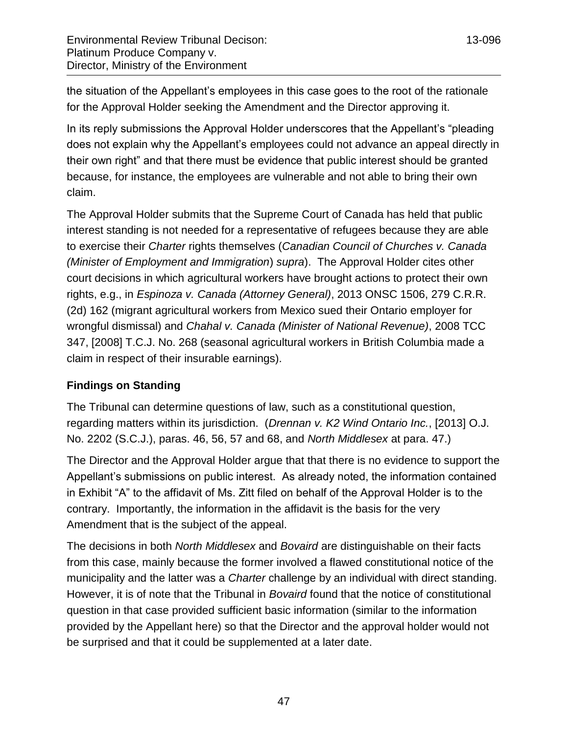the situation of the Appellant's employees in this case goes to the root of the rationale for the Approval Holder seeking the Amendment and the Director approving it.

In its reply submissions the Approval Holder underscores that the Appellant's "pleading does not explain why the Appellant's employees could not advance an appeal directly in their own right" and that there must be evidence that public interest should be granted because, for instance, the employees are vulnerable and not able to bring their own claim.

The Approval Holder submits that the Supreme Court of Canada has held that public interest standing is not needed for a representative of refugees because they are able to exercise their *Charter* rights themselves (*Canadian Council of Churches v. Canada (Minister of Employment and Immigration*) *supra*). The Approval Holder cites other court decisions in which agricultural workers have brought actions to protect their own rights, e.g., in *Espinoza v. Canada (Attorney General)*, 2013 ONSC 1506, 279 C.R.R. (2d) 162 (migrant agricultural workers from Mexico sued their Ontario employer for wrongful dismissal) and *Chahal v. Canada (Minister of National Revenue)*, 2008 TCC 347, [2008] T.C.J. No. 268 (seasonal agricultural workers in British Columbia made a claim in respect of their insurable earnings).

# **Findings on Standing**

The Tribunal can determine questions of law, such as a constitutional question, regarding matters within its jurisdiction. (*Drennan v. K2 Wind Ontario Inc.*, [2013] O.J. No. 2202 (S.C.J.), paras. 46, 56, 57 and 68, and *North Middlesex* at para. 47.)

The Director and the Approval Holder argue that that there is no evidence to support the Appellant's submissions on public interest. As already noted, the information contained in Exhibit "A" to the affidavit of Ms. Zitt filed on behalf of the Approval Holder is to the contrary. Importantly, the information in the affidavit is the basis for the very Amendment that is the subject of the appeal.

The decisions in both *North Middlesex* and *Bovaird* are distinguishable on their facts from this case, mainly because the former involved a flawed constitutional notice of the municipality and the latter was a *Charter* challenge by an individual with direct standing. However, it is of note that the Tribunal in *Bovaird* found that the notice of constitutional question in that case provided sufficient basic information (similar to the information provided by the Appellant here) so that the Director and the approval holder would not be surprised and that it could be supplemented at a later date.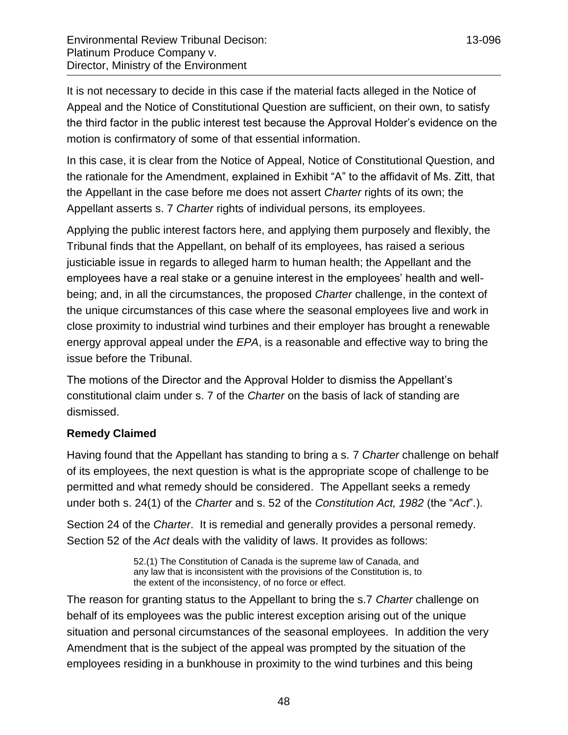It is not necessary to decide in this case if the material facts alleged in the Notice of Appeal and the Notice of Constitutional Question are sufficient, on their own, to satisfy the third factor in the public interest test because the Approval Holder's evidence on the motion is confirmatory of some of that essential information.

In this case, it is clear from the Notice of Appeal, Notice of Constitutional Question, and the rationale for the Amendment, explained in Exhibit "A" to the affidavit of Ms. Zitt, that the Appellant in the case before me does not assert *Charter* rights of its own; the Appellant asserts s. 7 *Charter* rights of individual persons, its employees.

Applying the public interest factors here, and applying them purposely and flexibly, the Tribunal finds that the Appellant, on behalf of its employees, has raised a serious justiciable issue in regards to alleged harm to human health; the Appellant and the employees have a real stake or a genuine interest in the employees' health and wellbeing; and, in all the circumstances, the proposed *Charter* challenge, in the context of the unique circumstances of this case where the seasonal employees live and work in close proximity to industrial wind turbines and their employer has brought a renewable energy approval appeal under the *EPA*, is a reasonable and effective way to bring the issue before the Tribunal.

The motions of the Director and the Approval Holder to dismiss the Appellant's constitutional claim under s. 7 of the *Charter* on the basis of lack of standing are dismissed.

### **Remedy Claimed**

Having found that the Appellant has standing to bring a s. 7 *Charter* challenge on behalf of its employees, the next question is what is the appropriate scope of challenge to be permitted and what remedy should be considered. The Appellant seeks a remedy under both s. 24(1) of the *Charter* and s. 52 of the *Constitution Act, 1982* (the "*Act*".).

Section 24 of the *Charter*. It is remedial and generally provides a personal remedy. Section 52 of the *Act* deals with the validity of laws. It provides as follows:

> 52.(1) The Constitution of Canada is the supreme law of Canada, and any law that is inconsistent with the provisions of the Constitution is, to the extent of the inconsistency, of no force or effect.

The reason for granting status to the Appellant to bring the s.7 *Charter* challenge on behalf of its employees was the public interest exception arising out of the unique situation and personal circumstances of the seasonal employees. In addition the very Amendment that is the subject of the appeal was prompted by the situation of the employees residing in a bunkhouse in proximity to the wind turbines and this being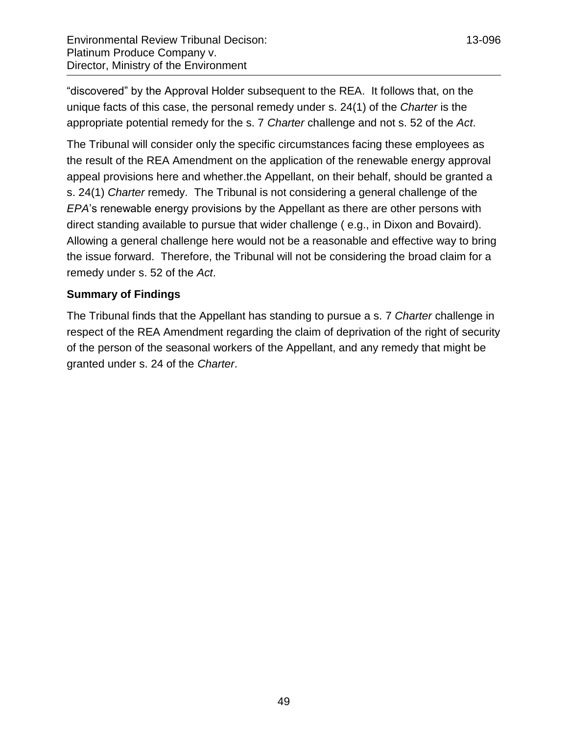"discovered" by the Approval Holder subsequent to the REA. It follows that, on the unique facts of this case, the personal remedy under s. 24(1) of the *Charter* is the appropriate potential remedy for the s. 7 *Charter* challenge and not s. 52 of the *Act*.

The Tribunal will consider only the specific circumstances facing these employees as the result of the REA Amendment on the application of the renewable energy approval appeal provisions here and whether.the Appellant, on their behalf, should be granted a s. 24(1) *Charter* remedy. The Tribunal is not considering a general challenge of the *EPA*'s renewable energy provisions by the Appellant as there are other persons with direct standing available to pursue that wider challenge ( e.g., in Dixon and Bovaird). Allowing a general challenge here would not be a reasonable and effective way to bring the issue forward. Therefore, the Tribunal will not be considering the broad claim for a remedy under s. 52 of the *Act*.

# **Summary of Findings**

The Tribunal finds that the Appellant has standing to pursue a s. 7 *Charter* challenge in respect of the REA Amendment regarding the claim of deprivation of the right of security of the person of the seasonal workers of the Appellant, and any remedy that might be granted under s. 24 of the *Charter*.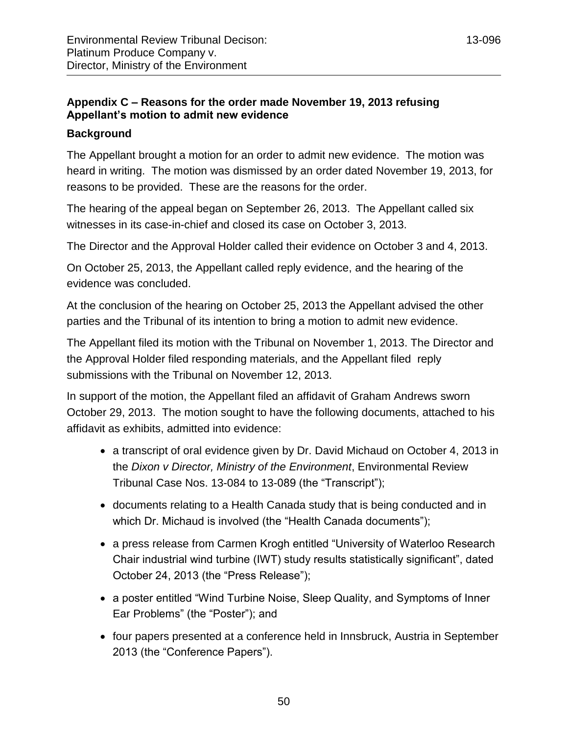# <span id="page-49-0"></span>**Appendix C – Reasons for the order made November 19, 2013 refusing Appellant's motion to admit new evidence**

# **Background**

The Appellant brought a motion for an order to admit new evidence. The motion was heard in writing. The motion was dismissed by an order dated November 19, 2013, for reasons to be provided. These are the reasons for the order.

The hearing of the appeal began on September 26, 2013. The Appellant called six witnesses in its case-in-chief and closed its case on October 3, 2013.

The Director and the Approval Holder called their evidence on October 3 and 4, 2013.

On October 25, 2013, the Appellant called reply evidence, and the hearing of the evidence was concluded.

At the conclusion of the hearing on October 25, 2013 the Appellant advised the other parties and the Tribunal of its intention to bring a motion to admit new evidence.

The Appellant filed its motion with the Tribunal on November 1, 2013. The Director and the Approval Holder filed responding materials, and the Appellant filed reply submissions with the Tribunal on November 12, 2013.

In support of the motion, the Appellant filed an affidavit of Graham Andrews sworn October 29, 2013. The motion sought to have the following documents, attached to his affidavit as exhibits, admitted into evidence:

- a transcript of oral evidence given by Dr. David Michaud on October 4, 2013 in the *Dixon v Director, Ministry of the Environment*, Environmental Review Tribunal Case Nos. 13-084 to 13-089 (the "Transcript");
- documents relating to a Health Canada study that is being conducted and in which Dr. Michaud is involved (the "Health Canada documents");
- a press release from Carmen Krogh entitled "University of Waterloo Research Chair industrial wind turbine (IWT) study results statistically significant", dated October 24, 2013 (the "Press Release");
- a poster entitled "Wind Turbine Noise, Sleep Quality, and Symptoms of Inner Ear Problems" (the "Poster"); and
- four papers presented at a conference held in Innsbruck, Austria in September 2013 (the "Conference Papers").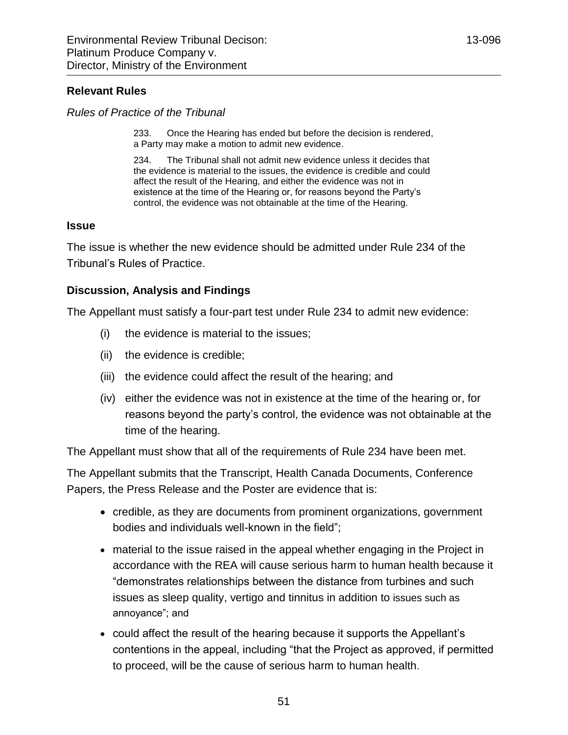### **Relevant Rules**

*Rules of Practice of the Tribunal*

233. Once the Hearing has ended but before the decision is rendered, a Party may make a motion to admit new evidence.

234. The Tribunal shall not admit new evidence unless it decides that the evidence is material to the issues, the evidence is credible and could affect the result of the Hearing, and either the evidence was not in existence at the time of the Hearing or, for reasons beyond the Party's control, the evidence was not obtainable at the time of the Hearing.

### **Issue**

The issue is whether the new evidence should be admitted under Rule 234 of the Tribunal's Rules of Practice.

### **Discussion, Analysis and Findings**

The Appellant must satisfy a four-part test under Rule 234 to admit new evidence:

- (i) the evidence is material to the issues;
- (ii) the evidence is credible;
- (iii) the evidence could affect the result of the hearing; and
- (iv) either the evidence was not in existence at the time of the hearing or, for reasons beyond the party's control, the evidence was not obtainable at the time of the hearing.

The Appellant must show that all of the requirements of Rule 234 have been met.

The Appellant submits that the Transcript, Health Canada Documents, Conference Papers, the Press Release and the Poster are evidence that is:

- credible, as they are documents from prominent organizations, government bodies and individuals well-known in the field";
- material to the issue raised in the appeal whether engaging in the Project in accordance with the REA will cause serious harm to human health because it "demonstrates relationships between the distance from turbines and such issues as sleep quality, vertigo and tinnitus in addition to issues such as annoyance"; and
- could affect the result of the hearing because it supports the Appellant's contentions in the appeal, including "that the Project as approved, if permitted to proceed, will be the cause of serious harm to human health.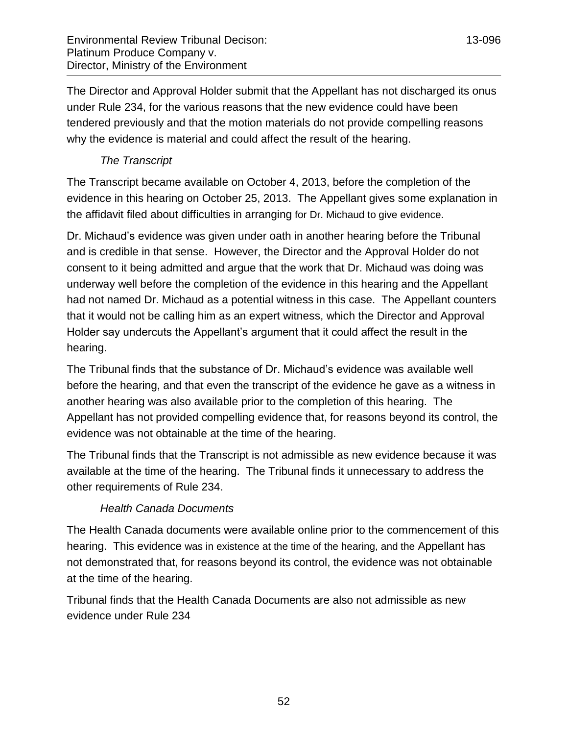The Director and Approval Holder submit that the Appellant has not discharged its onus under Rule 234, for the various reasons that the new evidence could have been tendered previously and that the motion materials do not provide compelling reasons why the evidence is material and could affect the result of the hearing.

# *The Transcript*

The Transcript became available on October 4, 2013, before the completion of the evidence in this hearing on October 25, 2013. The Appellant gives some explanation in the affidavit filed about difficulties in arranging for Dr. Michaud to give evidence.

Dr. Michaud's evidence was given under oath in another hearing before the Tribunal and is credible in that sense. However, the Director and the Approval Holder do not consent to it being admitted and argue that the work that Dr. Michaud was doing was underway well before the completion of the evidence in this hearing and the Appellant had not named Dr. Michaud as a potential witness in this case. The Appellant counters that it would not be calling him as an expert witness, which the Director and Approval Holder say undercuts the Appellant's argument that it could affect the result in the hearing.

The Tribunal finds that the substance of Dr. Michaud's evidence was available well before the hearing, and that even the transcript of the evidence he gave as a witness in another hearing was also available prior to the completion of this hearing. The Appellant has not provided compelling evidence that, for reasons beyond its control, the evidence was not obtainable at the time of the hearing.

The Tribunal finds that the Transcript is not admissible as new evidence because it was available at the time of the hearing. The Tribunal finds it unnecessary to address the other requirements of Rule 234.

# *Health Canada Documents*

The Health Canada documents were available online prior to the commencement of this hearing. This evidence was in existence at the time of the hearing, and the Appellant has not demonstrated that, for reasons beyond its control, the evidence was not obtainable at the time of the hearing.

Tribunal finds that the Health Canada Documents are also not admissible as new evidence under Rule 234